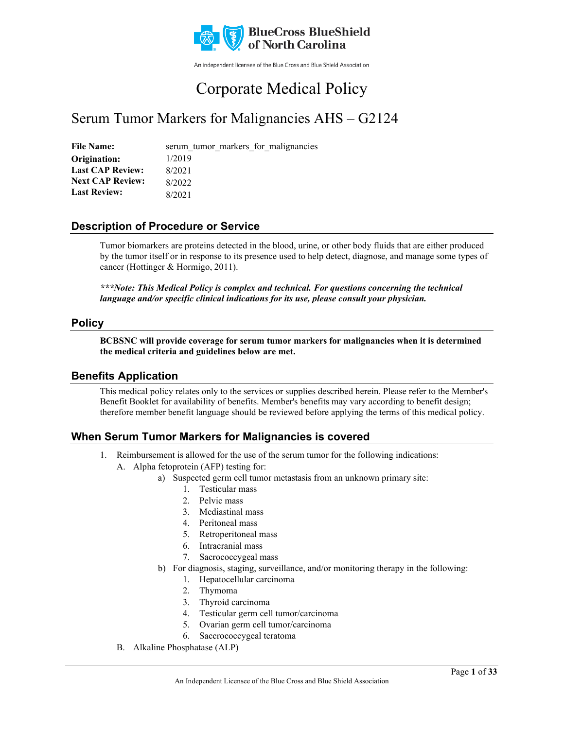

An independent licensee of the Blue Cross and Blue Shield Association

# Corporate Medical Policy

# Serum Tumor Markers for Malignancies AHS – G2124

| <b>File Name:</b>       | serum tumor markers for malignancies |
|-------------------------|--------------------------------------|
| Origination:            | 1/2019                               |
| <b>Last CAP Review:</b> | 8/2021                               |
| <b>Next CAP Review:</b> | 8/2022                               |
| <b>Last Review:</b>     | 8/2021                               |

### **Description of Procedure or Service**

Tumor biomarkers are proteins detected in the blood, urine, or other body fluids that are either produced by the tumor itself or in response to its presence used to help detect, diagnose, and manage some types of cancer (Hottinger & Hormigo, 2011).

*\*\*\*Note: This Medical Policy is complex and technical. For questions concerning the technical language and/or specific clinical indications for its use, please consult your physician.*

#### **Policy**

**BCBSNC will provide coverage for serum tumor markers for malignancies when it is determined the medical criteria and guidelines below are met.**

### **Benefits Application**

This medical policy relates only to the services or supplies described herein. Please refer to the Member's Benefit Booklet for availability of benefits. Member's benefits may vary according to benefit design; therefore member benefit language should be reviewed before applying the terms of this medical policy.

### **When Serum Tumor Markers for Malignancies is covered**

- 1. Reimbursement is allowed for the use of the serum tumor for the following indications: A. Alpha fetoprotein (AFP) testing for:
	- a) Suspected germ cell tumor metastasis from an unknown primary site:
		- 1. Testicular mass
		- 2. Pelvic mass
		- 3. Mediastinal mass
		- 4. Peritoneal mass
		- 5. Retroperitoneal mass
		- 6. Intracranial mass
		- 7. Sacrococcygeal mass
	- b) For diagnosis, staging, surveillance, and/or monitoring therapy in the following:
		- 1. Hepatocellular carcinoma
		- 2. Thymoma
		- 3. Thyroid carcinoma
		- 4. Testicular germ cell tumor/carcinoma
		- 5. Ovarian germ cell tumor/carcinoma
		- 6. Saccrococcygeal teratoma
	- B. Alkaline Phosphatase (ALP)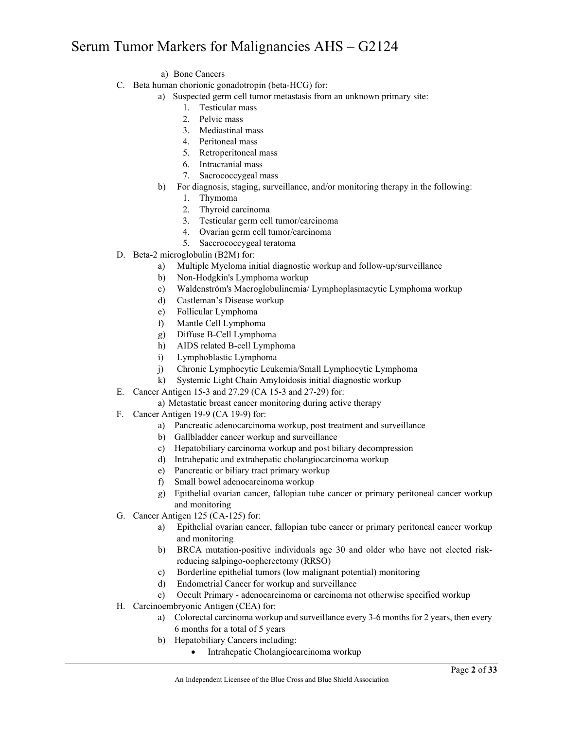- a) Bone Cancers
- C. Beta human chorionic gonadotropin (beta-HCG) for:
	- a) Suspected germ cell tumor metastasis from an unknown primary site:
		- 1. Testicular mass
		- 2. Pelvic mass
		- 3. Mediastinal mass
		- 4. Peritoneal mass
		- 5. Retroperitoneal mass
		- 6. Intracranial mass
		- 7. Sacrococcygeal mass
		- b) For diagnosis, staging, surveillance, and/or monitoring therapy in the following:
			- 1. Thymoma
			- 2. Thyroid carcinoma
			- 3. Testicular germ cell tumor/carcinoma
			- 4. Ovarian germ cell tumor/carcinoma
			- 5. Saccrococcygeal teratoma
- D. Beta-2 microglobulin (B2M) for:
	- a) Multiple Myeloma initial diagnostic workup and follow-up/surveillance
	- b) Non-Hodgkin's Lymphoma workup
	- c) Waldenström's Macroglobulinemia/ Lymphoplasmacytic Lymphoma workup
	- d) Castleman's Disease workup
	- e) Follicular Lymphoma
	- f) Mantle Cell Lymphoma
	- g) Diffuse B-Cell Lymphoma
	- h) AIDS related B-cell Lymphoma
	- i) Lymphoblastic Lymphoma
	- j) Chronic Lymphocytic Leukemia/Small Lymphocytic Lymphoma
	- k) Systemic Light Chain Amyloidosis initial diagnostic workup
- E. Cancer Antigen 15-3 and 27.29 (CA 15-3 and 27-29) for:
	- a) Metastatic breast cancer monitoring during active therapy
- F. Cancer Antigen 19-9 (CA 19-9) for:
	- a) Pancreatic adenocarcinoma workup, post treatment and surveillance
	- b) Gallbladder cancer workup and surveillance
	- c) Hepatobiliary carcinoma workup and post biliary decompression
	- d) Intrahepatic and extrahepatic cholangiocarcinoma workup
	- e) Pancreatic or biliary tract primary workup
	- f) Small bowel adenocarcinoma workup
	- g) Epithelial ovarian cancer, fallopian tube cancer or primary peritoneal cancer workup and monitoring
- G. Cancer Antigen 125 (CA-125) for:
	- a) Epithelial ovarian cancer, fallopian tube cancer or primary peritoneal cancer workup and monitoring
	- b) BRCA mutation-positive individuals age 30 and older who have not elected riskreducing salpingo-oopherectomy (RRSO)
	- c) Borderline epithelial tumors (low malignant potential) monitoring
	- d) Endometrial Cancer for workup and surveillance
	- e) Occult Primary adenocarcinoma or carcinoma not otherwise specified workup
- H. Carcinoembryonic Antigen (CEA) for:
	- a) Colorectal carcinoma workup and surveillance every 3-6 months for 2 years, then every 6 months for a total of 5 years
	- b) Hepatobiliary Cancers including:
		- Intrahepatic Cholangiocarcinoma workup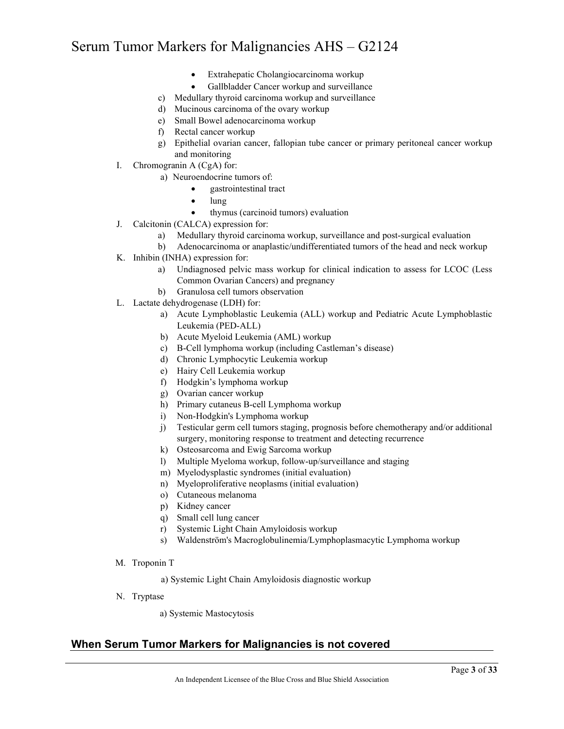- Extrahepatic Cholangiocarcinoma workup
- Gallbladder Cancer workup and surveillance
- c) Medullary thyroid carcinoma workup and surveillance
- d) Mucinous carcinoma of the ovary workup
- e) Small Bowel adenocarcinoma workup
- f) Rectal cancer workup
- g) Epithelial ovarian cancer, fallopian tube cancer or primary peritoneal cancer workup and monitoring
- I. Chromogranin A (CgA) for:
	- a) Neuroendocrine tumors of:
		- gastrointestinal tract
		- lung
		- thymus (carcinoid tumors) evaluation
- J. Calcitonin (CALCA) expression for:
	- a) Medullary thyroid carcinoma workup, surveillance and post-surgical evaluation
	- b) Adenocarcinoma or anaplastic/undifferentiated tumors of the head and neck workup
- K. Inhibin (INHA) expression for:
	- a) Undiagnosed pelvic mass workup for clinical indication to assess for LCOC (Less Common Ovarian Cancers) and pregnancy
	- b) Granulosa cell tumors observation
- L. Lactate dehydrogenase (LDH) for:
	- a) Acute Lymphoblastic Leukemia (ALL) workup and Pediatric Acute Lymphoblastic Leukemia (PED-ALL)
	- b) Acute Myeloid Leukemia (AML) workup
	- c) B-Cell lymphoma workup (including Castleman's disease)
	- d) Chronic Lymphocytic Leukemia workup
	- e) Hairy Cell Leukemia workup
	- f) Hodgkin's lymphoma workup
	- g) Ovarian cancer workup
	- h) Primary cutaneus B-cell Lymphoma workup
	- i) Non-Hodgkin's Lymphoma workup
	- j) Testicular germ cell tumors staging, prognosis before chemotherapy and/or additional surgery, monitoring response to treatment and detecting recurrence
	- k) Osteosarcoma and Ewig Sarcoma workup
	- l) Multiple Myeloma workup, follow-up/surveillance and staging
	- m) Myelodysplastic syndromes (initial evaluation)
	- n) Myeloproliferative neoplasms (initial evaluation)
	- o) Cutaneous melanoma
	- p) Kidney cancer
	- q) Small cell lung cancer
	- r) Systemic Light Chain Amyloidosis workup
	- s) Waldenström's Macroglobulinemia/Lymphoplasmacytic Lymphoma workup
- M. Troponin T
	- a) Systemic Light Chain Amyloidosis diagnostic workup
- N. Tryptase

a) Systemic Mastocytosis

### **When Serum Tumor Markers for Malignancies is not covered**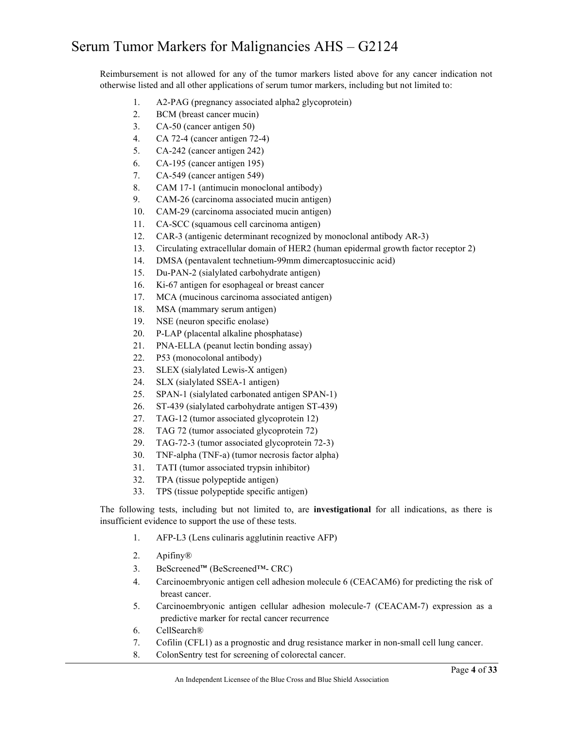Reimbursement is not allowed for any of the tumor markers listed above for any cancer indication not otherwise listed and all other applications of serum tumor markers, including but not limited to:

- 1. A2-PAG (pregnancy associated alpha2 glycoprotein)
- 2. BCM (breast cancer mucin)
- 3. CA-50 (cancer antigen 50)
- 4. CA 72-4 (cancer antigen 72-4)
- 5. CA-242 (cancer antigen 242)
- 6. CA-195 (cancer antigen 195)
- 7. CA-549 (cancer antigen 549)
- 8. CAM 17-1 (antimucin monoclonal antibody)
- 9. CAM-26 (carcinoma associated mucin antigen)
- 10. CAM-29 (carcinoma associated mucin antigen)
- 11. CA-SCC (squamous cell carcinoma antigen)
- 12. CAR-3 (antigenic determinant recognized by monoclonal antibody AR-3)
- 13. Circulating extracellular domain of HER2 (human epidermal growth factor receptor 2)
- 14. DMSA (pentavalent technetium-99mm dimercaptosuccinic acid)
- 15. Du-PAN-2 (sialylated carbohydrate antigen)
- 16. Ki-67 antigen for esophageal or breast cancer
- 17. MCA (mucinous carcinoma associated antigen)
- 18. MSA (mammary serum antigen)
- 19. NSE (neuron specific enolase)
- 20. P-LAP (placental alkaline phosphatase)
- 21. PNA-ELLA (peanut lectin bonding assay)
- 22. P53 (monocolonal antibody)
- 23. SLEX (sialylated Lewis-X antigen)
- 24. SLX (sialylated SSEA-1 antigen)
- 25. SPAN-1 (sialylated carbonated antigen SPAN-1)
- 26. ST-439 (sialylated carbohydrate antigen ST-439)
- 27. TAG-12 (tumor associated glycoprotein 12)
- 28. TAG 72 (tumor associated glycoprotein 72)
- 29. TAG-72-3 (tumor associated glycoprotein 72-3)
- 30. TNF-alpha (TNF-a) (tumor necrosis factor alpha)
- 31. TATI (tumor associated trypsin inhibitor)
- 32. TPA (tissue polypeptide antigen)
- 33. TPS (tissue polypeptide specific antigen)

The following tests, including but not limited to, are **investigational** for all indications, as there is insufficient evidence to support the use of these tests.

- 1. AFP-L3 (Lens culinaris agglutinin reactive AFP)
- 2. Apifiny®
- 3. BeScreened™ (BeScreened™- CRC)
- 4. Carcinoembryonic antigen cell adhesion molecule 6 (CEACAM6) for predicting the risk of breast cancer.
- 5. Carcinoembryonic antigen cellular adhesion molecule-7 (CEACAM-7) expression as a predictive marker for rectal cancer recurrence
- 6. CellSearch®
- 7. Cofilin (CFL1) as a prognostic and drug resistance marker in non-small cell lung cancer.
- 8. ColonSentry test for screening of colorectal cancer.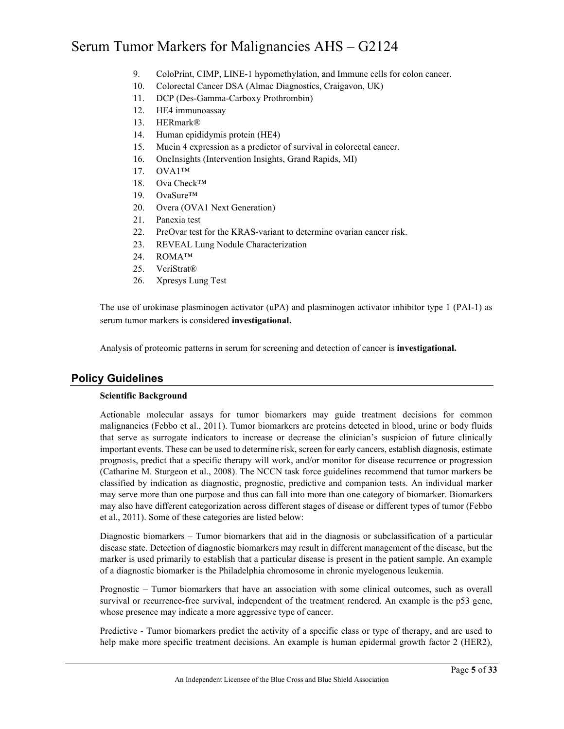- 9. ColoPrint, CIMP, LINE-1 hypomethylation, and Immune cells for colon cancer.
- 10. Colorectal Cancer DSA (Almac Diagnostics, Craigavon, UK)
- 11. DCP (Des-Gamma-Carboxy Prothrombin)
- 12. HE4 immunoassay
- 13. HERmark®
- 14. Human epididymis protein (HE4)
- 15. Mucin 4 expression as a predictor of survival in colorectal cancer.
- 16. OncInsights (Intervention Insights, Grand Rapids, MI)
- 17. OVA1™
- 18. Ova Check™
- 19. OvaSure™
- 20. Overa (OVA1 Next Generation)
- 21. Panexia test
- 22. PreOvar test for the KRAS-variant to determine ovarian cancer risk.
- 23. REVEAL Lung Nodule Characterization
- 24. ROMA™
- 25. VeriStrat®
- 26. Xpresys Lung Test

The use of urokinase plasminogen activator (uPA) and plasminogen activator inhibitor type 1 (PAI-1) as serum tumor markers is considered **investigational.**

Analysis of proteomic patterns in serum for screening and detection of cancer is **investigational.**

#### **Policy Guidelines**

#### **Scientific Background**

Actionable molecular assays for tumor biomarkers may guide treatment decisions for common malignancies (Febbo et al., 2011). Tumor biomarkers are proteins detected in blood, urine or body fluids that serve as surrogate indicators to increase or decrease the clinician's suspicion of future clinically important events. These can be used to determine risk, screen for early cancers, establish diagnosis, estimate prognosis, predict that a specific therapy will work, and/or monitor for disease recurrence or progression (Catharine M. Sturgeon et al., 2008). The NCCN task force guidelines recommend that tumor markers be classified by indication as diagnostic, prognostic, predictive and companion tests. An individual marker may serve more than one purpose and thus can fall into more than one category of biomarker. Biomarkers may also have different categorization across different stages of disease or different types of tumor (Febbo et al., 2011). Some of these categories are listed below:

Diagnostic biomarkers – Tumor biomarkers that aid in the diagnosis or subclassification of a particular disease state. Detection of diagnostic biomarkers may result in different management of the disease, but the marker is used primarily to establish that a particular disease is present in the patient sample. An example of a diagnostic biomarker is the Philadelphia chromosome in chronic myelogenous leukemia.

Prognostic – Tumor biomarkers that have an association with some clinical outcomes, such as overall survival or recurrence-free survival, independent of the treatment rendered. An example is the p53 gene, whose presence may indicate a more aggressive type of cancer.

Predictive - Tumor biomarkers predict the activity of a specific class or type of therapy, and are used to help make more specific treatment decisions. An example is human epidermal growth factor 2 (HER2),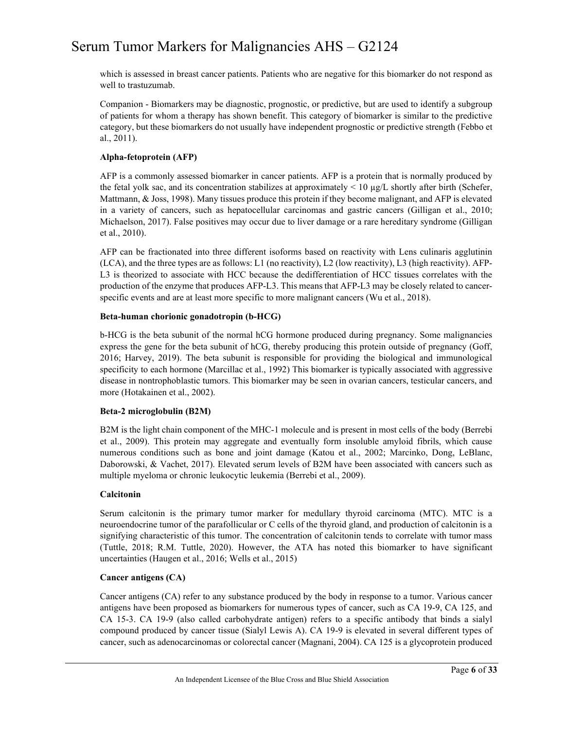which is assessed in breast cancer patients. Patients who are negative for this biomarker do not respond as well to trastuzumab.

Companion - Biomarkers may be diagnostic, prognostic, or predictive, but are used to identify a subgroup of patients for whom a therapy has shown benefit. This category of biomarker is similar to the predictive category, but these biomarkers do not usually have independent prognostic or predictive strength (Febbo et al., 2011).

#### **Alpha-fetoprotein (AFP)**

AFP is a commonly assessed biomarker in cancer patients. AFP is a protein that is normally produced by the fetal yolk sac, and its concentration stabilizes at approximately  $\lt 10 \mu g/L$  shortly after birth (Schefer, Mattmann, & Joss, 1998). Many tissues produce this protein if they become malignant, and AFP is elevated in a variety of cancers, such as hepatocellular carcinomas and gastric cancers (Gilligan et al., 2010; Michaelson, 2017). False positives may occur due to liver damage or a rare hereditary syndrome (Gilligan et al., 2010).

AFP can be fractionated into three different isoforms based on reactivity with Lens culinaris agglutinin (LCA), and the three types are as follows: L1 (no reactivity), L2 (low reactivity), L3 (high reactivity). AFP-L3 is theorized to associate with HCC because the dedifferentiation of HCC tissues correlates with the production of the enzyme that produces AFP-L3. This means that AFP-L3 may be closely related to cancerspecific events and are at least more specific to more malignant cancers (Wu et al., 2018).

#### **Beta-human chorionic gonadotropin (b-HCG)**

b-HCG is the beta subunit of the normal hCG hormone produced during pregnancy. Some malignancies express the gene for the beta subunit of hCG, thereby producing this protein outside of pregnancy (Goff, 2016; Harvey, 2019). The beta subunit is responsible for providing the biological and immunological specificity to each hormone (Marcillac et al., 1992) This biomarker is typically associated with aggressive disease in nontrophoblastic tumors. This biomarker may be seen in ovarian cancers, testicular cancers, and more (Hotakainen et al., 2002).

#### **Beta-2 microglobulin (B2M)**

B2M is the light chain component of the MHC-1 molecule and is present in most cells of the body (Berrebi et al., 2009). This protein may aggregate and eventually form insoluble amyloid fibrils, which cause numerous conditions such as bone and joint damage (Katou et al., 2002; Marcinko, Dong, LeBlanc, Daborowski, & Vachet, 2017). Elevated serum levels of B2M have been associated with cancers such as multiple myeloma or chronic leukocytic leukemia (Berrebi et al., 2009).

#### **Calcitonin**

Serum calcitonin is the primary tumor marker for medullary thyroid carcinoma (MTC). MTC is a neuroendocrine tumor of the parafollicular or C cells of the thyroid gland, and production of calcitonin is a signifying characteristic of this tumor. The concentration of calcitonin tends to correlate with tumor mass (Tuttle, 2018; R.M. Tuttle, 2020). However, the ATA has noted this biomarker to have significant uncertainties (Haugen et al., 2016; Wells et al., 2015)

#### **Cancer antigens (CA)**

Cancer antigens (CA) refer to any substance produced by the body in response to a tumor. Various cancer antigens have been proposed as biomarkers for numerous types of cancer, such as CA 19-9, CA 125, and CA 15-3. CA 19-9 (also called carbohydrate antigen) refers to a specific antibody that binds a sialyl compound produced by cancer tissue (Sialyl Lewis A). CA 19-9 is elevated in several different types of cancer, such as adenocarcinomas or colorectal cancer (Magnani, 2004). CA 125 is a glycoprotein produced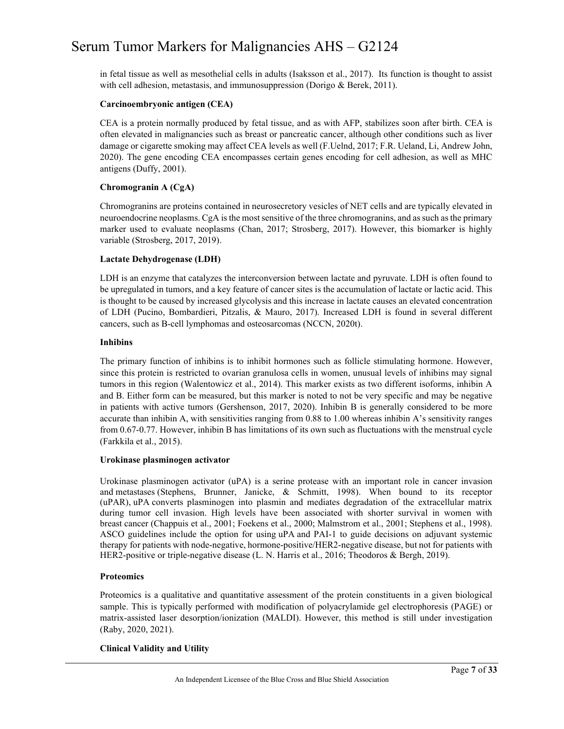in fetal tissue as well as mesothelial cells in adults (Isaksson et al., 2017). Its function is thought to assist with cell adhesion, metastasis, and immunosuppression (Dorigo & Berek, 2011).

#### **Carcinoembryonic antigen (CEA)**

CEA is a protein normally produced by fetal tissue, and as with AFP, stabilizes soon after birth. CEA is often elevated in malignancies such as breast or pancreatic cancer, although other conditions such as liver damage or cigarette smoking may affect CEA levels as well (F.Uelnd, 2017; F.R. Ueland, Li, Andrew John, 2020). The gene encoding CEA encompasses certain genes encoding for cell adhesion, as well as MHC antigens (Duffy, 2001).

#### **Chromogranin A (CgA)**

Chromogranins are proteins contained in neurosecretory vesicles of NET cells and are typically elevated in neuroendocrine neoplasms. CgA is the most sensitive of the three chromogranins, and as such as the primary marker used to evaluate neoplasms (Chan, 2017; Strosberg, 2017). However, this biomarker is highly variable (Strosberg, 2017, 2019).

#### **Lactate Dehydrogenase (LDH)**

LDH is an enzyme that catalyzes the interconversion between lactate and pyruvate. LDH is often found to be upregulated in tumors, and a key feature of cancer sites is the accumulation of lactate or lactic acid. This is thought to be caused by increased glycolysis and this increase in lactate causes an elevated concentration of LDH (Pucino, Bombardieri, Pitzalis, & Mauro, 2017). Increased LDH is found in several different cancers, such as B-cell lymphomas and osteosarcomas (NCCN, 2020t).

#### **Inhibins**

The primary function of inhibins is to inhibit hormones such as follicle stimulating hormone. However, since this protein is restricted to ovarian granulosa cells in women, unusual levels of inhibins may signal tumors in this region (Walentowicz et al., 2014). This marker exists as two different isoforms, inhibin A and B. Either form can be measured, but this marker is noted to not be very specific and may be negative in patients with active tumors (Gershenson, 2017, 2020). Inhibin B is generally considered to be more accurate than inhibin A, with sensitivities ranging from 0.88 to 1.00 whereas inhibin A's sensitivity ranges from 0.67-0.77. However, inhibin B has limitations of its own such as fluctuations with the menstrual cycle (Farkkila et al., 2015).

#### **Urokinase plasminogen activator**

Urokinase plasminogen activator (uPA) is a serine protease with an important role in cancer invasion and metastases (Stephens, Brunner, Janicke, & Schmitt, 1998). When bound to its receptor (uPAR), uPA converts plasminogen into plasmin and mediates degradation of the extracellular matrix during tumor cell invasion. High levels have been associated with shorter survival in women with breast cancer (Chappuis et al., 2001; Foekens et al., 2000; Malmstrom et al., 2001; Stephens et al., 1998). ASCO guidelines include the option for using uPA and PAI-1 to guide decisions on adjuvant systemic therapy for patients with node-negative, hormone-positive/HER2-negative disease, but not for patients with HER2-positive or triple-negative disease (L. N. Harris et al., 2016; Theodoros & Bergh, 2019).

#### **Proteomics**

Proteomics is a qualitative and quantitative assessment of the protein constituents in a given biological sample. This is typically performed with modification of polyacrylamide gel electrophoresis (PAGE) or matrix-assisted laser desorption/ionization (MALDI). However, this method is still under investigation (Raby, 2020, 2021).

#### **Clinical Validity and Utility**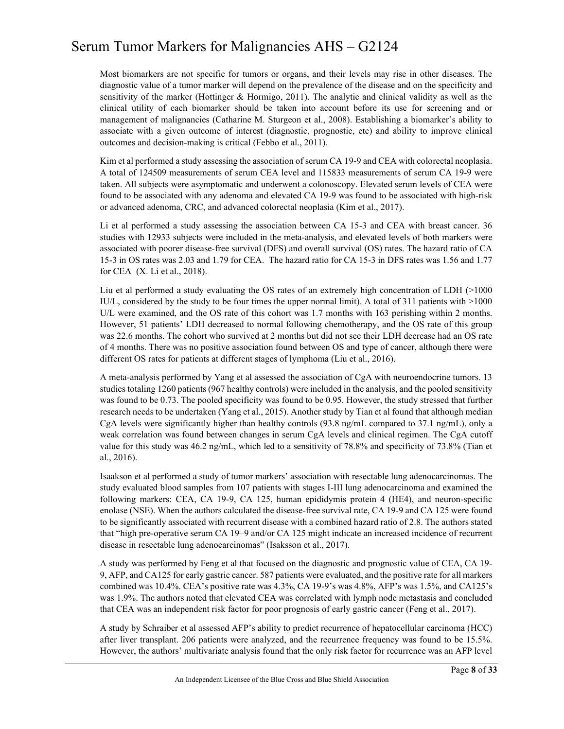Most biomarkers are not specific for tumors or organs, and their levels may rise in other diseases. The diagnostic value of a tumor marker will depend on the prevalence of the disease and on the specificity and sensitivity of the marker (Hottinger & Hormigo, 2011). The analytic and clinical validity as well as the clinical utility of each biomarker should be taken into account before its use for screening and or management of malignancies (Catharine M. Sturgeon et al., 2008). Establishing a biomarker's ability to associate with a given outcome of interest (diagnostic, prognostic, etc) and ability to improve clinical outcomes and decision-making is critical (Febbo et al., 2011).

Kim et al performed a study assessing the association of serum CA 19-9 and CEA with colorectal neoplasia. A total of 124509 measurements of serum CEA level and 115833 measurements of serum CA 19-9 were taken. All subjects were asymptomatic and underwent a colonoscopy. Elevated serum levels of CEA were found to be associated with any adenoma and elevated CA 19-9 was found to be associated with high-risk or advanced adenoma, CRC, and advanced colorectal neoplasia (Kim et al., 2017).

Li et al performed a study assessing the association between CA 15-3 and CEA with breast cancer. 36 studies with 12933 subjects were included in the meta-analysis, and elevated levels of both markers were associated with poorer disease-free survival (DFS) and overall survival (OS) rates. The hazard ratio of CA 15-3 in OS rates was 2.03 and 1.79 for CEA. The hazard ratio for CA 15-3 in DFS rates was 1.56 and 1.77 for CEA (X. Li et al., 2018).

Liu et al performed a study evaluating the OS rates of an extremely high concentration of LDH (>1000 IU/L, considered by the study to be four times the upper normal limit). A total of 311 patients with >1000 U/L were examined, and the OS rate of this cohort was 1.7 months with 163 perishing within 2 months. However, 51 patients' LDH decreased to normal following chemotherapy, and the OS rate of this group was 22.6 months. The cohort who survived at 2 months but did not see their LDH decrease had an OS rate of 4 months. There was no positive association found between OS and type of cancer, although there were different OS rates for patients at different stages of lymphoma (Liu et al., 2016).

A meta-analysis performed by Yang et al assessed the association of CgA with neuroendocrine tumors. 13 studies totaling 1260 patients (967 healthy controls) were included in the analysis, and the pooled sensitivity was found to be 0.73. The pooled specificity was found to be 0.95. However, the study stressed that further research needs to be undertaken (Yang et al., 2015). Another study by Tian et al found that although median CgA levels were significantly higher than healthy controls  $(93.8 \text{ ng/mL})$  compared to 37.1 ng/mL), only a weak correlation was found between changes in serum CgA levels and clinical regimen. The CgA cutoff value for this study was 46.2 ng/mL, which led to a sensitivity of 78.8% and specificity of 73.8% (Tian et al., 2016).

Isaakson et al performed a study of tumor markers' association with resectable lung adenocarcinomas. The study evaluated blood samples from 107 patients with stages I-III lung adenocarcinoma and examined the following markers: CEA, CA 19-9, CA 125, human epididymis protein 4 (HE4), and neuron-specific enolase (NSE). When the authors calculated the disease-free survival rate, CA 19-9 and CA 125 were found to be significantly associated with recurrent disease with a combined hazard ratio of 2.8. The authors stated that "high pre-operative serum CA 19–9 and/or CA 125 might indicate an increased incidence of recurrent disease in resectable lung adenocarcinomas" (Isaksson et al., 2017).

A study was performed by Feng et al that focused on the diagnostic and prognostic value of CEA, CA 19- 9, AFP, and CA125 for early gastric cancer. 587 patients were evaluated, and the positive rate for all markers combined was 10.4%. CEA's positive rate was 4.3%, CA 19-9's was 4.8%, AFP's was 1.5%, and CA125's was 1.9%. The authors noted that elevated CEA was correlated with lymph node metastasis and concluded that CEA was an independent risk factor for poor prognosis of early gastric cancer (Feng et al., 2017).

A study by Schraiber et al assessed AFP's ability to predict recurrence of hepatocellular carcinoma (HCC) after liver transplant. 206 patients were analyzed, and the recurrence frequency was found to be 15.5%. However, the authors' multivariate analysis found that the only risk factor for recurrence was an AFP level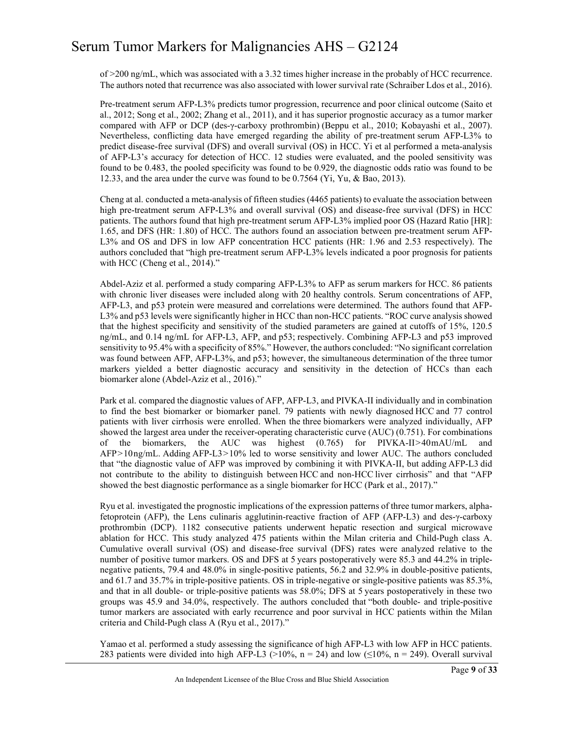of >200 ng/mL, which was associated with a 3.32 times higher increase in the probably of HCC recurrence. The authors noted that recurrence was also associated with lower survival rate (Schraiber Ldos et al., 2016).

Pre-treatment serum AFP-L3% predicts tumor progression, recurrence and poor clinical outcome (Saito et al., 2012; Song et al., 2002; Zhang et al., 2011), and it has superior prognostic accuracy as a tumor marker compared with AFP or DCP (des-γ-carboxy prothrombin) (Beppu et al., 2010; Kobayashi et al., 2007). Nevertheless, conflicting data have emerged regarding the ability of pre-treatment serum AFP-L3% to predict disease-free survival (DFS) and overall survival (OS) in HCC. Yi et al performed a meta-analysis of AFP-L3's accuracy for detection of HCC. 12 studies were evaluated, and the pooled sensitivity was found to be 0.483, the pooled specificity was found to be 0.929, the diagnostic odds ratio was found to be 12.33, and the area under the curve was found to be 0.7564 (Yi, Yu, & Bao, 2013).

Cheng at al. conducted a meta-analysis of fifteen studies (4465 patients) to evaluate the association between high pre-treatment serum AFP-L3% and overall survival (OS) and disease-free survival (DFS) in HCC patients. The authors found that high pre-treatment serum AFP-L3% implied poor OS (Hazard Ratio [HR]: 1.65, and DFS (HR: 1.80) of HCC. The authors found an association between pre-treatment serum AFP-L3% and OS and DFS in low AFP concentration HCC patients (HR: 1.96 and 2.53 respectively). The authors concluded that "high pre-treatment serum AFP-L3% levels indicated a poor prognosis for patients with HCC (Cheng et al., 2014)."

Abdel-Aziz et al. performed a study comparing AFP-L3% to AFP as serum markers for HCC. 86 patients with chronic liver diseases were included along with 20 healthy controls. Serum concentrations of AFP, AFP-L3, and p53 protein were measured and correlations were determined. The authors found that AFP-L3% and p53 levels were significantly higher in HCC than non-HCC patients. "ROC curve analysis showed that the highest specificity and sensitivity of the studied parameters are gained at cutoffs of 15%, 120.5 ng/mL, and 0.14 ng/mL for AFP-L3, AFP, and p53; respectively. Combining AFP-L3 and p53 improved sensitivity to 95.4% with a specificity of 85%." However, the authors concluded: "No significant correlation was found between AFP, AFP-L3%, and p53; however, the simultaneous determination of the three tumor markers yielded a better diagnostic accuracy and sensitivity in the detection of HCCs than each biomarker alone (Abdel-Aziz et al., 2016)."

Park et al. compared the diagnostic values of AFP, AFP-L3, and PIVKA-II individually and in combination to find the best biomarker or biomarker panel. 79 patients with newly diagnosed HCC and 77 control patients with liver cirrhosis were enrolled. When the three biomarkers were analyzed individually, AFP showed the largest area under the receiver-operating characteristic curve (AUC) (0.751). For combinations of the biomarkers, the AUC was highest  $(0.765)$  for PIVKA-II $>40$ mAU/mL and AFP > 10 ng/mL. Adding AFP-L3 > 10% led to worse sensitivity and lower AUC. The authors concluded that "the diagnostic value of AFP was improved by combining it with PIVKA-II, but adding AFP-L3 did not contribute to the ability to distinguish between HCC and non-HCC liver cirrhosis" and that "AFP showed the best diagnostic performance as a single biomarker for HCC (Park et al., 2017)."

Ryu et al. investigated the prognostic implications of the expression patterns of three tumor markers, alphafetoprotein (AFP), the Lens culinaris agglutinin-reactive fraction of AFP (AFP-L3) and des-γ-carboxy prothrombin (DCP). 1182 consecutive patients underwent hepatic resection and surgical microwave ablation for HCC. This study analyzed 475 patients within the Milan criteria and Child-Pugh class A. Cumulative overall survival (OS) and disease-free survival (DFS) rates were analyzed relative to the number of positive tumor markers. OS and DFS at 5 years postoperatively were 85.3 and 44.2% in triplenegative patients, 79.4 and 48.0% in single-positive patients, 56.2 and 32.9% in double-positive patients, and 61.7 and 35.7% in triple-positive patients. OS in triple-negative or single-positive patients was 85.3%, and that in all double- or triple-positive patients was 58.0%; DFS at 5 years postoperatively in these two groups was 45.9 and 34.0%, respectively. The authors concluded that "both double- and triple-positive tumor markers are associated with early recurrence and poor survival in HCC patients within the Milan criteria and Child-Pugh class A (Ryu et al., 2017)."

Yamao et al. performed a study assessing the significance of high AFP-L3 with low AFP in HCC patients. 283 patients were divided into high AFP-L3 (>10%, n = 24) and low ( $\leq 10\%$ , n = 249). Overall survival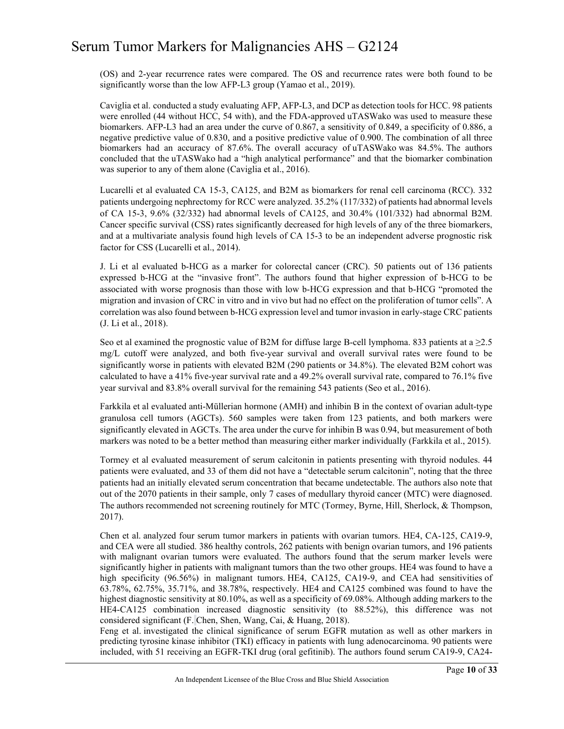(OS) and 2-year recurrence rates were compared. The OS and recurrence rates were both found to be significantly worse than the low AFP-L3 group (Yamao et al., 2019).

Caviglia et al. conducted a study evaluating AFP, AFP-L3, and DCP as detection tools for HCC. 98 patients were enrolled (44 without HCC, 54 with), and the FDA-approved uTASWako was used to measure these biomarkers. AFP-L3 had an area under the curve of 0.867, a sensitivity of 0.849, a specificity of 0.886, a negative predictive value of 0.830, and a positive predictive value of 0.900. The combination of all three biomarkers had an accuracy of 87.6%. The overall accuracy of uTASWako was 84.5%. The authors concluded that the uTASWako had a "high analytical performance" and that the biomarker combination was superior to any of them alone (Caviglia et al., 2016).

Lucarelli et al evaluated CA 15-3, CA125, and B2M as biomarkers for renal cell carcinoma (RCC). 332 patients undergoing nephrectomy for RCC were analyzed. 35.2% (117/332) of patients had abnormal levels of CA 15-3, 9.6% (32/332) had abnormal levels of CA125, and 30.4% (101/332) had abnormal B2M. Cancer specific survival (CSS) rates significantly decreased for high levels of any of the three biomarkers, and at a multivariate analysis found high levels of CA 15-3 to be an independent adverse prognostic risk factor for CSS (Lucarelli et al., 2014).

J. Li et al evaluated b-HCG as a marker for colorectal cancer (CRC). 50 patients out of 136 patients expressed b-HCG at the "invasive front". The authors found that higher expression of b-HCG to be associated with worse prognosis than those with low b-HCG expression and that b-HCG "promoted the migration and invasion of CRC in vitro and in vivo but had no effect on the proliferation of tumor cells". A correlation was also found between b-HCG expression level and tumor invasion in early-stage CRC patients (J. Li et al., 2018).

Seo et al examined the prognostic value of B2M for diffuse large B-cell lymphoma. 833 patients at a  $\geq 2.5$ mg/L cutoff were analyzed, and both five-year survival and overall survival rates were found to be significantly worse in patients with elevated B2M (290 patients or 34.8%). The elevated B2M cohort was calculated to have a 41% five-year survival rate and a 49.2% overall survival rate, compared to 76.1% five year survival and 83.8% overall survival for the remaining 543 patients (Seo et al., 2016).

Farkkila et al evaluated anti-Müllerian hormone (AMH) and inhibin B in the context of ovarian adult-type granulosa cell tumors (AGCTs). 560 samples were taken from 123 patients, and both markers were significantly elevated in AGCTs. The area under the curve for inhibin B was 0.94, but measurement of both markers was noted to be a better method than measuring either marker individually (Farkkila et al., 2015).

Tormey et al evaluated measurement of serum calcitonin in patients presenting with thyroid nodules. 44 patients were evaluated, and 33 of them did not have a "detectable serum calcitonin", noting that the three patients had an initially elevated serum concentration that became undetectable. The authors also note that out of the 2070 patients in their sample, only 7 cases of medullary thyroid cancer (MTC) were diagnosed. The authors recommended not screening routinely for MTC (Tormey, Byrne, Hill, Sherlock, & Thompson, 2017).

Chen et al. analyzed four serum tumor markers in patients with ovarian tumors. HE4, CA-125, CA19-9, and CEA were all studied. 386 healthy controls, 262 patients with benign ovarian tumors, and 196 patients with malignant ovarian tumors were evaluated. The authors found that the serum marker levels were significantly higher in patients with malignant tumors than the two other groups. HE4 was found to have a high specificity (96.56%) in malignant tumors. HE4, CA125, CA19-9, and CEA had sensitivities of 63.78%, 62.75%, 35.71%, and 38.78%, respectively. HE4 and CA125 combined was found to have the highest diagnostic sensitivity at 80.10%, as well as a specificity of 69.08%. Although adding markers to the HE4-CA125 combination increased diagnostic sensitivity (to 88.52%), this difference was not considered significant (F. Chen, Shen, Wang, Cai, & Huang, 2018).

Feng et al. investigated the clinical significance of serum EGFR mutation as well as other markers in predicting tyrosine kinase inhibitor (TKI) efficacy in patients with lung adenocarcinoma. 90 patients were included, with 51 receiving an EGFR-TKI drug (oral gefitinib). The authors found serum CA19-9, CA24-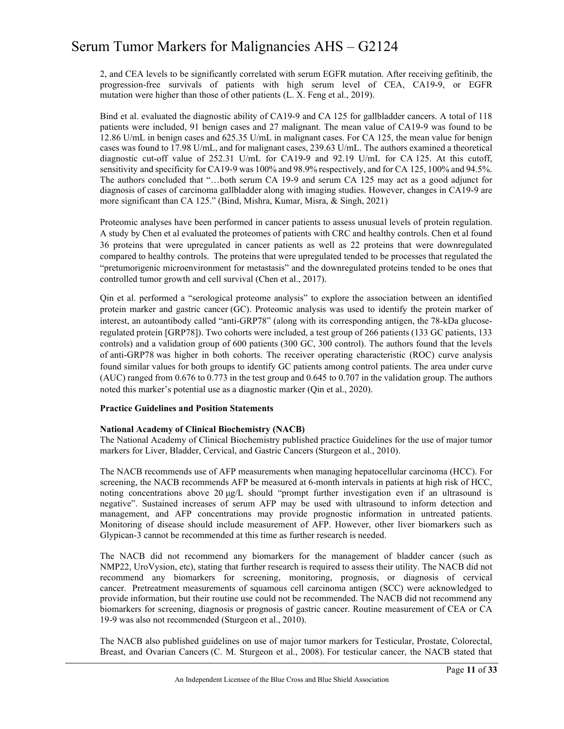2, and CEA levels to be significantly correlated with serum EGFR mutation. After receiving gefitinib, the progression-free survivals of patients with high serum level of CEA, CA19-9, or EGFR mutation were higher than those of other patients (L. X. Feng et al., 2019).

Bind et al. evaluated the diagnostic ability of CA19-9 and CA 125 for gallbladder cancers. A total of 118 patients were included, 91 benign cases and 27 malignant. The mean value of CA19-9 was found to be 12.86 U/mL in benign cases and 625.35 U/mL in malignant cases. For CA 125, the mean value for benign cases was found to 17.98 U/mL, and for malignant cases, 239.63 U/mL. The authors examined a theoretical diagnostic cut-off value of 252.31 U/mL for CA19-9 and 92.19 U/mL for CA 125. At this cutoff, sensitivity and specificity for CA19-9 was 100% and 98.9% respectively, and for CA 125, 100% and 94.5%. The authors concluded that "…both serum CA 19-9 and serum CA 125 may act as a good adjunct for diagnosis of cases of carcinoma gallbladder along with imaging studies. However, changes in CA19-9 are more significant than CA 125." (Bind, Mishra, Kumar, Misra, & Singh, 2021)

Proteomic analyses have been performed in cancer patients to assess unusual levels of protein regulation. A study by Chen et al evaluated the proteomes of patients with CRC and healthy controls. Chen et al found 36 proteins that were upregulated in cancer patients as well as 22 proteins that were downregulated compared to healthy controls. The proteins that were upregulated tended to be processes that regulated the "pretumorigenic microenvironment for metastasis" and the downregulated proteins tended to be ones that controlled tumor growth and cell survival (Chen et al., 2017).

Qin et al. performed a "serological proteome analysis" to explore the association between an identified protein marker and gastric cancer (GC). Proteomic analysis was used to identify the protein marker of interest, an autoantibody called "anti-GRP78" (along with its corresponding antigen, the 78-kDa glucoseregulated protein [GRP78]). Two cohorts were included, a test group of 266 patients (133 GC patients, 133 controls) and a validation group of 600 patients (300 GC, 300 control). The authors found that the levels of anti-GRP78 was higher in both cohorts. The receiver operating characteristic (ROC) curve analysis found similar values for both groups to identify GC patients among control patients. The area under curve (AUC) ranged from 0.676 to 0.773 in the test group and 0.645 to 0.707 in the validation group. The authors noted this marker's potential use as a diagnostic marker (Qin et al., 2020).

#### **Practice Guidelines and Position Statements**

#### **National Academy of Clinical Biochemistry (NACB)**

The National Academy of Clinical Biochemistry published practice Guidelines for the use of major tumor markers for Liver, Bladder, Cervical, and Gastric Cancers (Sturgeon et al., 2010).

The NACB recommends use of AFP measurements when managing hepatocellular carcinoma (HCC). For screening, the NACB recommends AFP be measured at 6-month intervals in patients at high risk of HCC, noting concentrations above  $20 \mu g/L$  should "prompt further investigation even if an ultrasound is negative". Sustained increases of serum AFP may be used with ultrasound to inform detection and management, and AFP concentrations may provide prognostic information in untreated patients. Monitoring of disease should include measurement of AFP. However, other liver biomarkers such as Glypican-3 cannot be recommended at this time as further research is needed.

The NACB did not recommend any biomarkers for the management of bladder cancer (such as NMP22, UroVysion, etc), stating that further research is required to assess their utility. The NACB did not recommend any biomarkers for screening, monitoring, prognosis, or diagnosis of cervical cancer. Pretreatment measurements of squamous cell carcinoma antigen (SCC) were acknowledged to provide information, but their routine use could not be recommended. The NACB did not recommend any biomarkers for screening, diagnosis or prognosis of gastric cancer. Routine measurement of CEA or CA 19-9 was also not recommended (Sturgeon et al., 2010).

The NACB also published guidelines on use of major tumor markers for Testicular, Prostate, Colorectal, Breast, and Ovarian Cancers (C. M. Sturgeon et al., 2008). For testicular cancer, the NACB stated that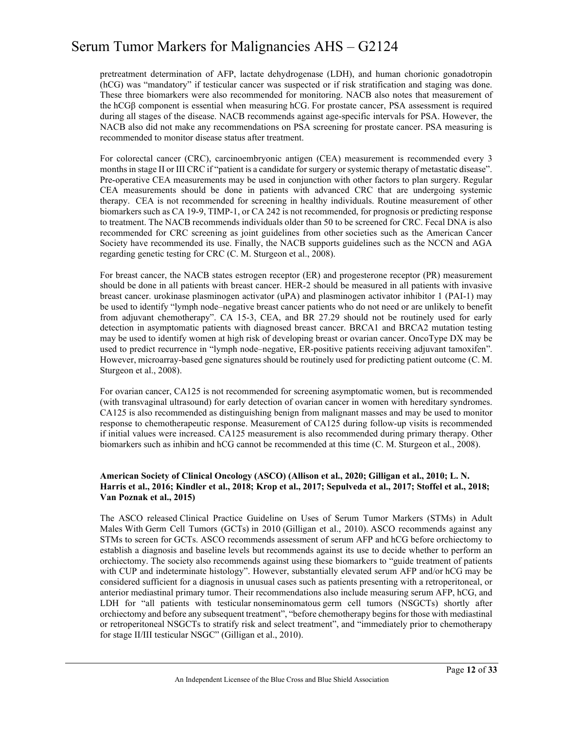pretreatment determination of AFP, lactate dehydrogenase (LDH), and human chorionic gonadotropin (hCG) was "mandatory" if testicular cancer was suspected or if risk stratification and staging was done. These three biomarkers were also recommended for monitoring. NACB also notes that measurement of the hCGβ component is essential when measuring hCG. For prostate cancer, PSA assessment is required during all stages of the disease. NACB recommends against age-specific intervals for PSA. However, the NACB also did not make any recommendations on PSA screening for prostate cancer. PSA measuring is recommended to monitor disease status after treatment.

For colorectal cancer (CRC), carcinoembryonic antigen (CEA) measurement is recommended every 3 months in stage II or III CRC if "patient is a candidate for surgery or systemic therapy of metastatic disease". Pre-operative CEA measurements may be used in conjunction with other factors to plan surgery. Regular CEA measurements should be done in patients with advanced CRC that are undergoing systemic therapy. CEA is not recommended for screening in healthy individuals. Routine measurement of other biomarkers such as CA 19-9, TIMP-1, or CA 242 is not recommended, for prognosis or predicting response to treatment. The NACB recommends individuals older than 50 to be screened for CRC. Fecal DNA is also recommended for CRC screening as joint guidelines from other societies such as the American Cancer Society have recommended its use. Finally, the NACB supports guidelines such as the NCCN and AGA regarding genetic testing for CRC (C. M. Sturgeon et al., 2008).

For breast cancer, the NACB states estrogen receptor (ER) and progesterone receptor (PR) measurement should be done in all patients with breast cancer. HER-2 should be measured in all patients with invasive breast cancer. urokinase plasminogen activator (uPA) and plasminogen activator inhibitor 1 (PAI-1) may be used to identify "lymph node–negative breast cancer patients who do not need or are unlikely to benefit from adjuvant chemotherapy". CA 15-3, CEA, and BR 27.29 should not be routinely used for early detection in asymptomatic patients with diagnosed breast cancer. BRCA1 and BRCA2 mutation testing may be used to identify women at high risk of developing breast or ovarian cancer. OncoType DX may be used to predict recurrence in "lymph node–negative, ER-positive patients receiving adjuvant tamoxifen". However, microarray-based gene signatures should be routinely used for predicting patient outcome (C. M. Sturgeon et al., 2008).

For ovarian cancer, CA125 is not recommended for screening asymptomatic women, but is recommended (with transvaginal ultrasound) for early detection of ovarian cancer in women with hereditary syndromes. CA125 is also recommended as distinguishing benign from malignant masses and may be used to monitor response to chemotherapeutic response. Measurement of CA125 during follow-up visits is recommended if initial values were increased. CA125 measurement is also recommended during primary therapy. Other biomarkers such as inhibin and hCG cannot be recommended at this time (C. M. Sturgeon et al., 2008).

#### **American Society of Clinical Oncology (ASCO) (Allison et al., 2020; Gilligan et al., 2010; L. N. Harris et al., 2016; Kindler et al., 2018; Krop et al., 2017; Sepulveda et al., 2017; Stoffel et al., 2018; Van Poznak et al., 2015)**

The ASCO released Clinical Practice Guideline on Uses of Serum Tumor Markers (STMs) in Adult Males With Germ Cell Tumors (GCTs) in 2010 (Gilligan et al., 2010). ASCO recommends against any STMs to screen for GCTs. ASCO recommends assessment of serum AFP and hCG before orchiectomy to establish a diagnosis and baseline levels but recommends against its use to decide whether to perform an orchiectomy. The society also recommends against using these biomarkers to "guide treatment of patients with CUP and indeterminate histology". However, substantially elevated serum AFP and/or hCG may be considered sufficient for a diagnosis in unusual cases such as patients presenting with a retroperitoneal, or anterior mediastinal primary tumor. Their recommendations also include measuring serum AFP, hCG, and LDH for "all patients with testicular nonseminomatous germ cell tumors (NSGCTs) shortly after orchiectomy and before any subsequent treatment", "before chemotherapy begins for those with mediastinal or retroperitoneal NSGCTs to stratify risk and select treatment", and "immediately prior to chemotherapy for stage II/III testicular NSGC" (Gilligan et al., 2010).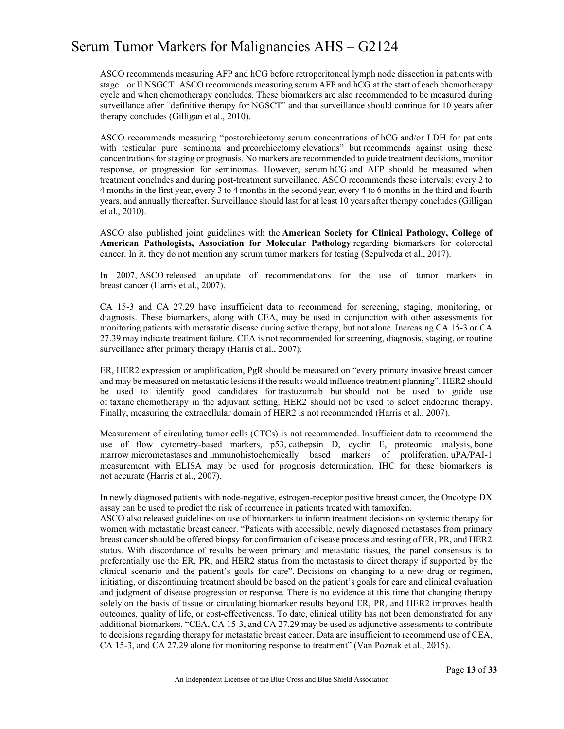ASCO recommends measuring AFP and hCG before retroperitoneal lymph node dissection in patients with stage 1 or II NSGCT. ASCO recommends measuring serum AFP and hCG at the start of each chemotherapy cycle and when chemotherapy concludes. These biomarkers are also recommended to be measured during surveillance after "definitive therapy for NGSCT" and that surveillance should continue for 10 years after therapy concludes (Gilligan et al., 2010).

ASCO recommends measuring "postorchiectomy serum concentrations of hCG and/or LDH for patients with testicular pure seminoma and preorchiectomy elevations" but recommends against using these concentrations for staging or prognosis. No markers are recommended to guide treatment decisions, monitor response, or progression for seminomas. However, serum hCG and AFP should be measured when treatment concludes and during post-treatment surveillance. ASCO recommends these intervals: every 2 to 4 months in the first year, every 3 to 4 months in the second year, every 4 to 6 months in the third and fourth years, and annually thereafter. Surveillance should last for at least 10 years after therapy concludes (Gilligan et al., 2010).

ASCO also published joint guidelines with the **American Society for Clinical Pathology, College of American Pathologists, Association for Molecular Pathology** regarding biomarkers for colorectal cancer. In it, they do not mention any serum tumor markers for testing (Sepulveda et al., 2017).

In 2007, ASCO released an update of recommendations for the use of tumor markers in breast cancer (Harris et al., 2007).

CA 15-3 and CA 27.29 have insufficient data to recommend for screening, staging, monitoring, or diagnosis. These biomarkers, along with CEA, may be used in conjunction with other assessments for monitoring patients with metastatic disease during active therapy, but not alone. Increasing CA 15-3 or CA 27.39 may indicate treatment failure. CEA is not recommended for screening, diagnosis, staging, or routine surveillance after primary therapy (Harris et al., 2007).

ER, HER2 expression or amplification, PgR should be measured on "every primary invasive breast cancer and may be measured on metastatic lesions if the results would influence treatment planning". HER2 should be used to identify good candidates for trastuzumab but should not be used to guide use of taxane chemotherapy in the adjuvant setting. HER2 should not be used to select endocrine therapy. Finally, measuring the extracellular domain of HER2 is not recommended (Harris et al., 2007).

Measurement of circulating tumor cells (CTCs) is not recommended. Insufficient data to recommend the use of flow cytometry-based markers, p53, cathepsin D, cyclin E, proteomic analysis, bone marrow micrometastases and immunohistochemically based markers of proliferation. uPA/PAI-1 measurement with ELISA may be used for prognosis determination. IHC for these biomarkers is not accurate (Harris et al., 2007).

In newly diagnosed patients with node-negative, estrogen-receptor positive breast cancer, the Oncotype DX assay can be used to predict the risk of recurrence in patients treated with tamoxifen.

ASCO also released guidelines on use of biomarkers to inform treatment decisions on systemic therapy for women with metastatic breast cancer. "Patients with accessible, newly diagnosed metastases from primary breast cancer should be offered biopsy for confirmation of disease process and testing of ER, PR, and HER2 status. With discordance of results between primary and metastatic tissues, the panel consensus is to preferentially use the ER, PR, and HER2 status from the metastasis to direct therapy if supported by the clinical scenario and the patient's goals for care". Decisions on changing to a new drug or regimen, initiating, or discontinuing treatment should be based on the patient's goals for care and clinical evaluation and judgment of disease progression or response. There is no evidence at this time that changing therapy solely on the basis of tissue or circulating biomarker results beyond ER, PR, and HER2 improves health outcomes, quality of life, or cost-effectiveness. To date, clinical utility has not been demonstrated for any additional biomarkers. "CEA, CA 15-3, and CA 27.29 may be used as adjunctive assessments to contribute to decisions regarding therapy for metastatic breast cancer. Data are insufficient to recommend use of CEA, CA 15-3, and CA 27.29 alone for monitoring response to treatment" (Van Poznak et al., 2015).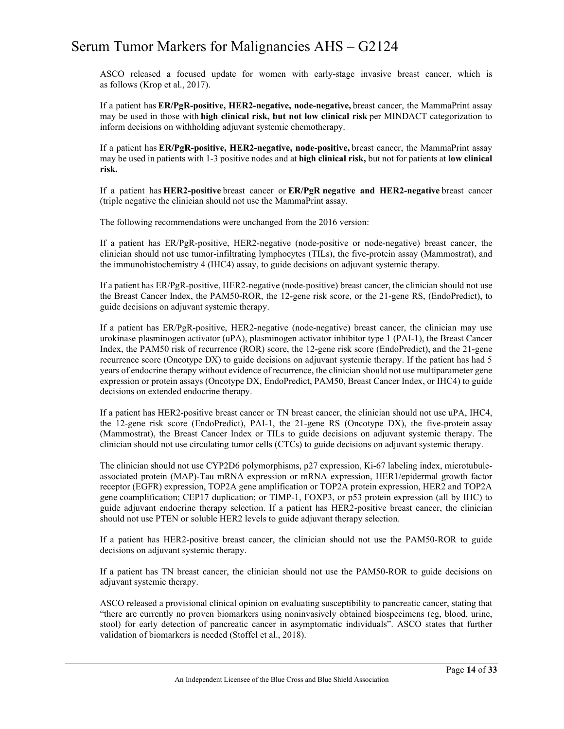ASCO released a focused update for women with early-stage invasive breast cancer, which is as follows (Krop et al., 2017).

If a patient has **ER/PgR-positive, HER2-negative, node-negative,** breast cancer, the MammaPrint assay may be used in those with **high clinical risk, but not low clinical risk** per MINDACT categorization to inform decisions on withholding adjuvant systemic chemotherapy.

If a patient has **ER/PgR-positive, HER2-negative, node-positive,** breast cancer, the MammaPrint assay may be used in patients with 1-3 positive nodes and at **high clinical risk,** but not for patients at **low clinical risk.**

If a patient has**HER2-positive** breast cancer or **ER/PgR negative and HER2-negative** breast cancer (triple negative the clinician should not use the MammaPrint assay.

The following recommendations were unchanged from the 2016 version:

If a patient has ER/PgR-positive, HER2-negative (node-positive or node-negative) breast cancer, the clinician should not use tumor-infiltrating lymphocytes (TILs), the five-protein assay (Mammostrat), and the immunohistochemistry 4 (IHC4) assay, to guide decisions on adjuvant systemic therapy.

If a patient has ER/PgR-positive, HER2-negative (node-positive) breast cancer, the clinician should not use the Breast Cancer Index, the PAM50-ROR, the 12-gene risk score, or the 21-gene RS, (EndoPredict), to guide decisions on adjuvant systemic therapy.

If a patient has ER/PgR-positive, HER2-negative (node-negative) breast cancer, the clinician may use urokinase plasminogen activator (uPA), plasminogen activator inhibitor type 1 (PAI-1), the Breast Cancer Index, the PAM50 risk of recurrence (ROR) score, the 12-gene risk score (EndoPredict), and the 21-gene recurrence score (Oncotype DX) to guide decisions on adjuvant systemic therapy. If the patient has had 5 years of endocrine therapy without evidence of recurrence, the clinician should not use multiparameter gene expression or protein assays (Oncotype DX, EndoPredict, PAM50, Breast Cancer Index, or IHC4) to guide decisions on extended endocrine therapy.

If a patient has HER2-positive breast cancer or TN breast cancer, the clinician should not use uPA, IHC4, the 12-gene risk score (EndoPredict), PAI-1, the 21-gene RS (Oncotype DX), the five-protein assay (Mammostrat), the Breast Cancer Index or TILs to guide decisions on adjuvant systemic therapy. The clinician should not use circulating tumor cells (CTCs) to guide decisions on adjuvant systemic therapy.

The clinician should not use CYP2D6 polymorphisms, p27 expression, Ki-67 labeling index, microtubuleassociated protein (MAP)-Tau mRNA expression or mRNA expression, HER1/epidermal growth factor receptor (EGFR) expression, TOP2A gene amplification or TOP2A protein expression, HER2 and TOP2A gene coamplification; CEP17 duplication; or TIMP-1, FOXP3, or p53 protein expression (all by IHC) to guide adjuvant endocrine therapy selection. If a patient has HER2-positive breast cancer, the clinician should not use PTEN or soluble HER2 levels to guide adjuvant therapy selection.

If a patient has HER2-positive breast cancer, the clinician should not use the PAM50-ROR to guide decisions on adjuvant systemic therapy.

If a patient has TN breast cancer, the clinician should not use the PAM50-ROR to guide decisions on adjuvant systemic therapy.

ASCO released a provisional clinical opinion on evaluating susceptibility to pancreatic cancer, stating that "there are currently no proven biomarkers using noninvasively obtained biospecimens (eg, blood, urine, stool) for early detection of pancreatic cancer in asymptomatic individuals". ASCO states that further validation of biomarkers is needed (Stoffel et al., 2018).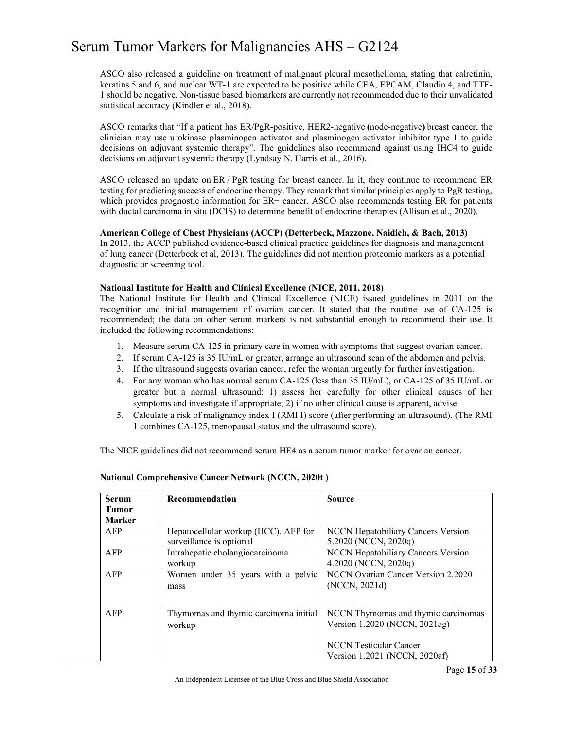ASCO also released a guideline on treatment of malignant pleural mesothelioma, stating that calretinin, keratins 5 and 6, and nuclear WT-1 are expected to be positive while CEA, EPCAM, Claudin 4, and TTF-1 should be negative. Non-tissue based biomarkers are currently not recommended due to their unvalidated statistical accuracy (Kindler et al., 2018).

ASCO remarks that "If a patient has ER/PgR-positive, HER2-negative **(**node-negative**)** breast cancer, the clinician may use urokinase plasminogen activator and plasminogen activator inhibitor type 1 to guide decisions on adjuvant systemic therapy". The guidelines also recommend against using IHC4 to guide decisions on adjuvant systemic therapy (Lyndsay N. Harris et al., 2016).

ASCO released an update on ER / PgR testing for breast cancer. In it, they continue to recommend ER testing for predicting success of endocrine therapy. They remark that similar principles apply to PgR testing, which provides prognostic information for ER+ cancer. ASCO also recommends testing ER for patients with ductal carcinoma in situ (DCIS) to determine benefit of endocrine therapies (Allison et al., 2020).

#### **American College of Chest Physicians (ACCP) (Detterbeck, Mazzone, Naidich, & Bach, 2013)**

In 2013, the ACCP published evidence-based clinical practice guidelines for diagnosis and management of lung cancer (Detterbeck et al, 2013). The guidelines did not mention proteomic markers as a potential diagnostic or screening tool.

#### **National Institute for Health and Clinical Excellence (NICE, 2011, 2018)**

The National Institute for Health and Clinical Excellence (NICE) issued guidelines in 2011 on the recognition and initial management of ovarian cancer. It stated that the routine use of CA-125 is recommended; the data on other serum markers is not substantial enough to recommend their use. It included the following recommendations:

- 1. Measure serum CA-125 in primary care in women with symptoms that suggest ovarian cancer.
- 2. If serum CA-125 is 35 IU/mL or greater, arrange an ultrasound scan of the abdomen and pelvis.
- 3. If the ultrasound suggests ovarian cancer, refer the woman urgently for further investigation.
- 4. For any woman who has normal serum CA-125 (less than 35 IU/mL), or CA-125 of 35 IU/mL or greater but a normal ultrasound: 1) assess her carefully for other clinical causes of her symptoms and investigate if appropriate; 2) if no other clinical cause is apparent, advise.
- 5. Calculate a risk of malignancy index I (RMI I) score (after performing an ultrasound). (The RMI 1 combines CA-125, menopausal status and the ultrasound score).

The NICE guidelines did not recommend serum HE4 as a serum tumor marker for ovarian cancer.

| <b>Serum</b>  | Recommendation                        | <b>Source</b>                             |
|---------------|---------------------------------------|-------------------------------------------|
| <b>Tumor</b>  |                                       |                                           |
| <b>Marker</b> |                                       |                                           |
| AFP           | Hepatocellular workup (HCC). AFP for  | <b>NCCN</b> Hepatobiliary Cancers Version |
|               | surveillance is optional              | $5.2020$ (NCCN, $2020q$ )                 |
| AFP           | Intrahepatic cholangiocarcinoma       | <b>NCCN Hepatobiliary Cancers Version</b> |
|               | workup                                | 4.2020 (NCCN, 2020q)                      |
| AFP           | Women under 35 years with a pelvic    | NCCN Ovarian Cancer Version 2.2020        |
|               | mass                                  | (NCCN, 2021d)                             |
|               |                                       |                                           |
|               |                                       |                                           |
| AFP           | Thymomas and thymic carcinoma initial | NCCN Thymomas and thymic carcinomas       |
|               | workup                                | Version 1.2020 (NCCN, 2021ag)             |
|               |                                       |                                           |
|               |                                       | <b>NCCN</b> Testicular Cancer             |
|               |                                       | Version 1.2021 (NCCN, 2020af)             |

#### **National Comprehensive Cancer Network (NCCN, 2020t )**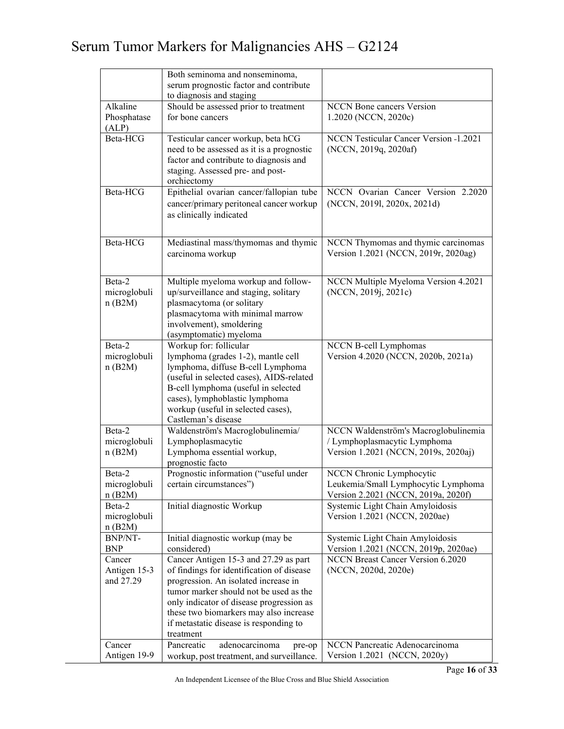|                                     | Both seminoma and nonseminoma,<br>serum prognostic factor and contribute<br>to diagnosis and staging                                                                                                                                                                                                              |                                                                                                              |
|-------------------------------------|-------------------------------------------------------------------------------------------------------------------------------------------------------------------------------------------------------------------------------------------------------------------------------------------------------------------|--------------------------------------------------------------------------------------------------------------|
| Alkaline<br>Phosphatase<br>(ALP)    | Should be assessed prior to treatment<br>for bone cancers                                                                                                                                                                                                                                                         | <b>NCCN</b> Bone cancers Version<br>1.2020 (NCCN, 2020c)                                                     |
| Beta-HCG                            | Testicular cancer workup, beta hCG<br>need to be assessed as it is a prognostic<br>factor and contribute to diagnosis and<br>staging. Assessed pre- and post-<br>orchiectomy                                                                                                                                      | NCCN Testicular Cancer Version -1.2021<br>(NCCN, 2019q, 2020af)                                              |
| Beta-HCG                            | Epithelial ovarian cancer/fallopian tube<br>cancer/primary peritoneal cancer workup<br>as clinically indicated                                                                                                                                                                                                    | NCCN Ovarian Cancer Version 2.2020<br>(NCCN, 2019l, 2020x, 2021d)                                            |
| Beta-HCG                            | Mediastinal mass/thymomas and thymic<br>carcinoma workup                                                                                                                                                                                                                                                          | NCCN Thymomas and thymic carcinomas<br>Version 1.2021 (NCCN, 2019r, 2020ag)                                  |
| Beta-2<br>microglobuli<br>n(B2M)    | Multiple myeloma workup and follow-<br>up/surveillance and staging, solitary<br>plasmacytoma (or solitary<br>plasmacytoma with minimal marrow<br>involvement), smoldering<br>(asymptomatic) myeloma                                                                                                               | NCCN Multiple Myeloma Version 4.2021<br>(NCCN, 2019j, 2021c)                                                 |
| Beta-2<br>microglobuli<br>n(B2M)    | Workup for: follicular<br>lymphoma (grades 1-2), mantle cell<br>lymphoma, diffuse B-cell Lymphoma<br>(useful in selected cases), AIDS-related<br>B-cell lymphoma (useful in selected<br>cases), lymphoblastic lymphoma<br>workup (useful in selected cases),<br>Castleman's disease                               | NCCN B-cell Lymphomas<br>Version 4.2020 (NCCN, 2020b, 2021a)                                                 |
| Beta-2<br>microglobuli<br>n(B2M)    | Waldenström's Macroglobulinemia/<br>Lymphoplasmacytic<br>Lymphoma essential workup,<br>prognostic facto                                                                                                                                                                                                           | NCCN Waldenström's Macroglobulinemia<br>/ Lymphoplasmacytic Lymphoma<br>Version 1.2021 (NCCN, 2019s, 2020aj) |
| Beta-2<br>microglobuli<br>n(B2M)    | Prognostic information ("useful under<br>certain circumstances")                                                                                                                                                                                                                                                  | NCCN Chronic Lymphocytic<br>Leukemia/Small Lymphocytic Lymphoma<br>Version 2.2021 (NCCN, 2019a, 2020f)       |
| Beta-2<br>microglobuli<br>n(B2M)    | Initial diagnostic Workup                                                                                                                                                                                                                                                                                         | Systemic Light Chain Amyloidosis<br>Version 1.2021 (NCCN, 2020ae)                                            |
| BNP/NT-<br><b>BNP</b>               | Initial diagnostic workup (may be<br>considered)                                                                                                                                                                                                                                                                  | Systemic Light Chain Amyloidosis<br>Version 1.2021 (NCCN, 2019p, 2020ae)                                     |
| Cancer<br>Antigen 15-3<br>and 27.29 | Cancer Antigen 15-3 and 27.29 as part<br>of findings for identification of disease<br>progression. An isolated increase in<br>tumor marker should not be used as the<br>only indicator of disease progression as<br>these two biomarkers may also increase<br>if metastatic disease is responding to<br>treatment | NCCN Breast Cancer Version 6.2020<br>(NCCN, 2020d, 2020e)                                                    |
| Cancer<br>Antigen 19-9              | Pancreatic<br>adenocarcinoma<br>pre-op<br>workup, post treatment, and surveillance.                                                                                                                                                                                                                               | NCCN Pancreatic Adenocarcinoma<br>Version 1.2021 (NCCN, 2020y)                                               |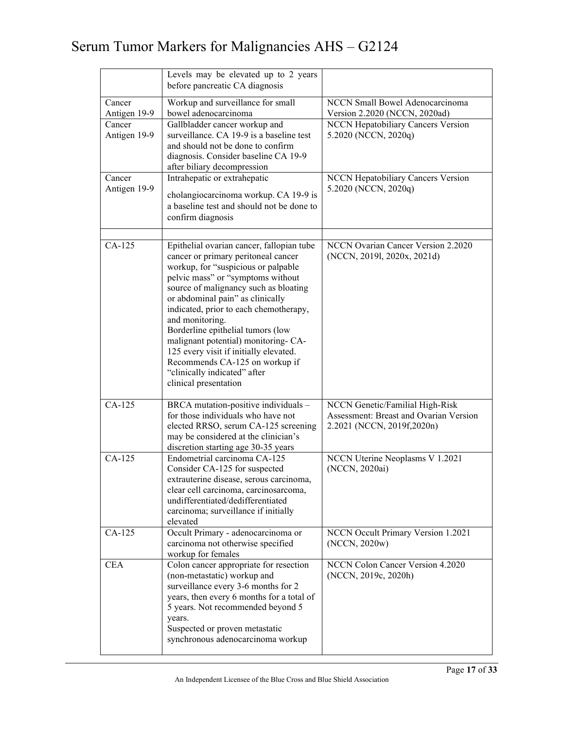|                        | Levels may be elevated up to 2 years<br>before pancreatic CA diagnosis                                                                                                                                                                                                                                                                                                                                                                                                                                                   |                                                                                                          |
|------------------------|--------------------------------------------------------------------------------------------------------------------------------------------------------------------------------------------------------------------------------------------------------------------------------------------------------------------------------------------------------------------------------------------------------------------------------------------------------------------------------------------------------------------------|----------------------------------------------------------------------------------------------------------|
| Cancer<br>Antigen 19-9 | Workup and surveillance for small<br>bowel adenocarcinoma                                                                                                                                                                                                                                                                                                                                                                                                                                                                | NCCN Small Bowel Adenocarcinoma<br>Version 2.2020 (NCCN, 2020ad)                                         |
| Cancer<br>Antigen 19-9 | Gallbladder cancer workup and<br>surveillance. CA 19-9 is a baseline test<br>and should not be done to confirm<br>diagnosis. Consider baseline CA 19-9<br>after biliary decompression                                                                                                                                                                                                                                                                                                                                    | NCCN Hepatobiliary Cancers Version<br>5.2020 (NCCN, 2020q)                                               |
| Cancer<br>Antigen 19-9 | Intrahepatic or extrahepatic<br>cholangiocarcinoma workup. CA 19-9 is<br>a baseline test and should not be done to<br>confirm diagnosis                                                                                                                                                                                                                                                                                                                                                                                  | <b>NCCN Hepatobiliary Cancers Version</b><br>5.2020 (NCCN, 2020q)                                        |
| CA-125                 | Epithelial ovarian cancer, fallopian tube<br>cancer or primary peritoneal cancer<br>workup, for "suspicious or palpable<br>pelvic mass" or "symptoms without<br>source of malignancy such as bloating<br>or abdominal pain" as clinically<br>indicated, prior to each chemotherapy,<br>and monitoring.<br>Borderline epithelial tumors (low<br>malignant potential) monitoring- CA-<br>125 every visit if initially elevated.<br>Recommends CA-125 on workup if<br>"clinically indicated" after<br>clinical presentation | <b>NCCN Ovarian Cancer Version 2.2020</b><br>(NCCN, 2019l, 2020x, 2021d)                                 |
| CA-125                 | BRCA mutation-positive individuals -<br>for those individuals who have not<br>elected RRSO, serum CA-125 screening<br>may be considered at the clinician's<br>discretion starting age 30-35 years                                                                                                                                                                                                                                                                                                                        | NCCN Genetic/Familial High-Risk<br>Assessment: Breast and Ovarian Version<br>2.2021 (NCCN, 2019f, 2020n) |
| $CA-125$               | Endometrial carcinoma CA-125<br>Consider CA-125 for suspected<br>extrauterine disease, serous carcinoma,<br>clear cell carcinoma, carcinosarcoma,<br>undifferentiated/dedifferentiated<br>carcinoma; surveillance if initially<br>elevated                                                                                                                                                                                                                                                                               | NCCN Uterine Neoplasms V 1.2021<br>(NCCN, 2020ai)                                                        |
| $CA-125$               | Occult Primary - adenocarcinoma or<br>carcinoma not otherwise specified<br>workup for females                                                                                                                                                                                                                                                                                                                                                                                                                            | NCCN Occult Primary Version 1.2021<br>(NCCN, 2020w)                                                      |
| <b>CEA</b>             | Colon cancer appropriate for resection<br>(non-metastatic) workup and<br>surveillance every 3-6 months for 2<br>years, then every 6 months for a total of<br>5 years. Not recommended beyond 5<br>years.<br>Suspected or proven metastatic<br>synchronous adenocarcinoma workup                                                                                                                                                                                                                                          | NCCN Colon Cancer Version 4.2020<br>(NCCN, 2019c, 2020h)                                                 |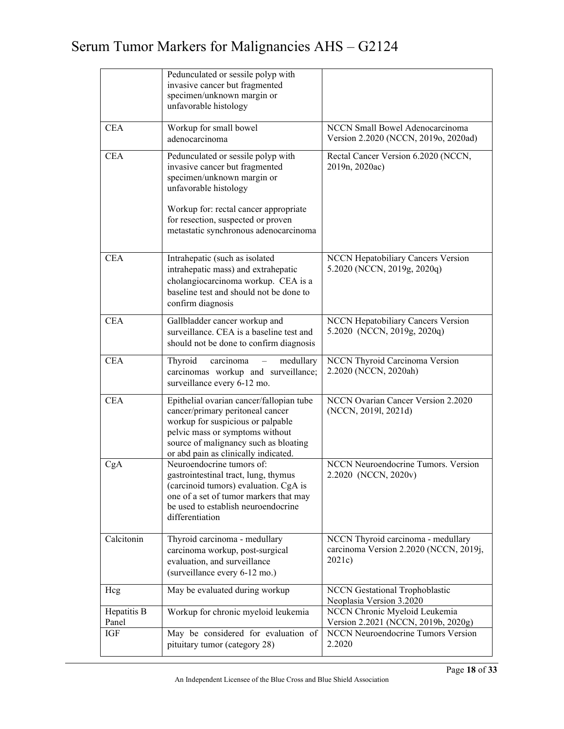|                      | Pedunculated or sessile polyp with<br>invasive cancer but fragmented<br>specimen/unknown margin or<br>unfavorable histology                                                                                                           |                                                                                        |
|----------------------|---------------------------------------------------------------------------------------------------------------------------------------------------------------------------------------------------------------------------------------|----------------------------------------------------------------------------------------|
| <b>CEA</b>           | Workup for small bowel<br>adenocarcinoma                                                                                                                                                                                              | NCCN Small Bowel Adenocarcinoma<br>Version 2.2020 (NCCN, 2019o, 2020ad)                |
| <b>CEA</b>           | Pedunculated or sessile polyp with<br>invasive cancer but fragmented<br>specimen/unknown margin or<br>unfavorable histology                                                                                                           | Rectal Cancer Version 6.2020 (NCCN,<br>2019n, 2020ac)                                  |
|                      | Workup for: rectal cancer appropriate<br>for resection, suspected or proven<br>metastatic synchronous adenocarcinoma                                                                                                                  |                                                                                        |
| <b>CEA</b>           | Intrahepatic (such as isolated<br>intrahepatic mass) and extrahepatic<br>cholangiocarcinoma workup. CEA is a<br>baseline test and should not be done to<br>confirm diagnosis                                                          | <b>NCCN Hepatobiliary Cancers Version</b><br>5.2020 (NCCN, 2019g, 2020q)               |
| <b>CEA</b>           | Gallbladder cancer workup and<br>surveillance. CEA is a baseline test and<br>should not be done to confirm diagnosis                                                                                                                  | <b>NCCN Hepatobiliary Cancers Version</b><br>5.2020 (NCCN, 2019g, 2020q)               |
| <b>CEA</b>           | Thyroid<br>carcinoma<br>medullary<br>carcinomas workup and surveillance;<br>surveillance every 6-12 mo.                                                                                                                               | NCCN Thyroid Carcinoma Version<br>2.2020 (NCCN, 2020ah)                                |
| <b>CEA</b>           | Epithelial ovarian cancer/fallopian tube<br>cancer/primary peritoneal cancer<br>workup for suspicious or palpable<br>pelvic mass or symptoms without<br>source of malignancy such as bloating<br>or abd pain as clinically indicated. | <b>NCCN Ovarian Cancer Version 2.2020</b><br>(NCCN, 2019l, 2021d)                      |
| CgA                  | Neuroendocrine tumors of:<br>gastrointestinal tract, lung, thymus<br>(carcinoid tumors) evaluation. CgA is<br>one of a set of tumor markers that may<br>be used to establish neuroendocrine<br>differentiation                        | NCCN Neuroendocrine Tumors. Version<br>2.2020 (NCCN, 2020v)                            |
| Calcitonin           | Thyroid carcinoma - medullary<br>carcinoma workup, post-surgical<br>evaluation, and surveillance<br>(surveillance every 6-12 mo.)                                                                                                     | NCCN Thyroid carcinoma - medullary<br>carcinoma Version 2.2020 (NCCN, 2019j,<br>2021c) |
| Hcg                  | May be evaluated during workup                                                                                                                                                                                                        | <b>NCCN</b> Gestational Trophoblastic<br>Neoplasia Version 3.2020                      |
| Hepatitis B<br>Panel | Workup for chronic myeloid leukemia                                                                                                                                                                                                   | NCCN Chronic Myeloid Leukemia<br>Version 2.2021 (NCCN, 2019b, 2020g)                   |
| IGF                  | May be considered for evaluation of<br>pituitary tumor (category 28)                                                                                                                                                                  | <b>NCCN Neuroendocrine Tumors Version</b><br>2.2020                                    |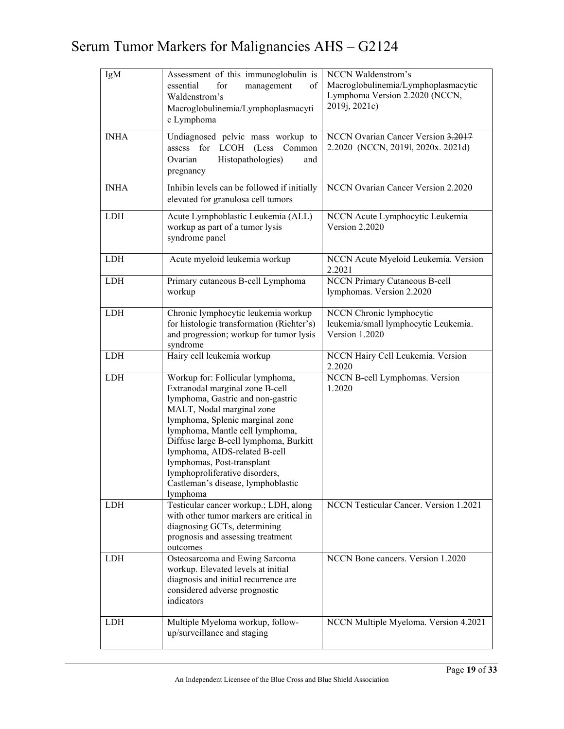| IgM         | Assessment of this immunoglobulin is<br>essential<br>management<br>for<br>οf<br>Waldenstrom's<br>Macroglobulinemia/Lymphoplasmacyti<br>c Lymphoma                                                                                                                                                                                                                                                        | NCCN Waldenstrom's<br>Macroglobulinemia/Lymphoplasmacytic<br>Lymphoma Version 2.2020 (NCCN,<br>2019j, 2021c) |
|-------------|----------------------------------------------------------------------------------------------------------------------------------------------------------------------------------------------------------------------------------------------------------------------------------------------------------------------------------------------------------------------------------------------------------|--------------------------------------------------------------------------------------------------------------|
| <b>INHA</b> | Undiagnosed pelvic mass workup to<br>assess for<br>LCOH (Less Common<br>Histopathologies)<br>Ovarian<br>and<br>pregnancy                                                                                                                                                                                                                                                                                 | NCCN Ovarian Cancer Version 3.2017<br>2.2020 (NCCN, 2019l, 2020x. 2021d)                                     |
| <b>INHA</b> | Inhibin levels can be followed if initially<br>elevated for granulosa cell tumors                                                                                                                                                                                                                                                                                                                        | NCCN Ovarian Cancer Version 2.2020                                                                           |
| LDH         | Acute Lymphoblastic Leukemia (ALL)<br>workup as part of a tumor lysis<br>syndrome panel                                                                                                                                                                                                                                                                                                                  | NCCN Acute Lymphocytic Leukemia<br>Version 2.2020                                                            |
| <b>LDH</b>  | Acute myeloid leukemia workup                                                                                                                                                                                                                                                                                                                                                                            | NCCN Acute Myeloid Leukemia. Version<br>2.2021                                                               |
| <b>LDH</b>  | Primary cutaneous B-cell Lymphoma<br>workup                                                                                                                                                                                                                                                                                                                                                              | <b>NCCN Primary Cutaneous B-cell</b><br>lymphomas. Version 2.2020                                            |
| <b>LDH</b>  | Chronic lymphocytic leukemia workup<br>for histologic transformation (Richter's)<br>and progression; workup for tumor lysis<br>syndrome                                                                                                                                                                                                                                                                  | NCCN Chronic lymphocytic<br>leukemia/small lymphocytic Leukemia.<br>Version 1.2020                           |
| LDH         | Hairy cell leukemia workup                                                                                                                                                                                                                                                                                                                                                                               | NCCN Hairy Cell Leukemia. Version<br>2.2020                                                                  |
| <b>LDH</b>  | Workup for: Follicular lymphoma,<br>Extranodal marginal zone B-cell<br>lymphoma, Gastric and non-gastric<br>MALT, Nodal marginal zone<br>lymphoma, Splenic marginal zone<br>lymphoma, Mantle cell lymphoma,<br>Diffuse large B-cell lymphoma, Burkitt<br>lymphoma, AIDS-related B-cell<br>lymphomas, Post-transplant<br>lymphoproliferative disorders,<br>Castleman's disease, lymphoblastic<br>lymphoma | NCCN B-cell Lymphomas. Version<br>1.2020                                                                     |
| LDH         | Testicular cancer workup.; LDH, along<br>with other tumor markers are critical in<br>diagnosing GCTs, determining<br>prognosis and assessing treatment<br>outcomes                                                                                                                                                                                                                                       | NCCN Testicular Cancer. Version 1.2021                                                                       |
| <b>LDH</b>  | Osteosarcoma and Ewing Sarcoma<br>workup. Elevated levels at initial<br>diagnosis and initial recurrence are<br>considered adverse prognostic<br>indicators                                                                                                                                                                                                                                              | NCCN Bone cancers. Version 1.2020                                                                            |
| LDH         | Multiple Myeloma workup, follow-<br>up/surveillance and staging                                                                                                                                                                                                                                                                                                                                          | NCCN Multiple Myeloma. Version 4.2021                                                                        |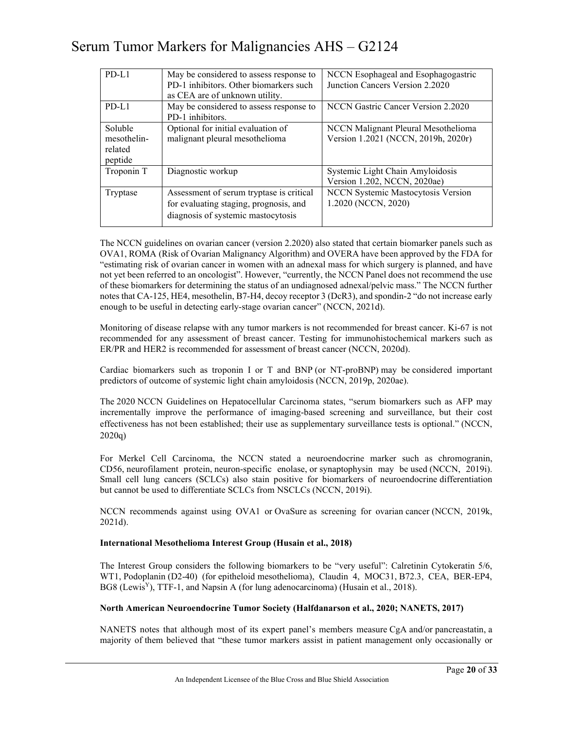| PD-L1                                        | May be considered to assess response to<br>PD-1 inhibitors. Other biomarkers such<br>as CEA are of unknown utility.      | NCCN Esophageal and Esophagogastric<br>Junction Cancers Version 2.2020     |
|----------------------------------------------|--------------------------------------------------------------------------------------------------------------------------|----------------------------------------------------------------------------|
| PD-L1                                        | May be considered to assess response to<br>PD-1 inhibitors.                                                              | NCCN Gastric Cancer Version 2.2020                                         |
| Soluble<br>mesothelin-<br>related<br>peptide | Optional for initial evaluation of<br>malignant pleural mesothelioma                                                     | NCCN Malignant Pleural Mesothelioma<br>Version 1.2021 (NCCN, 2019h, 2020r) |
| Troponin T                                   | Diagnostic workup                                                                                                        | Systemic Light Chain Amyloidosis<br>Version 1.202, NCCN, 2020ae)           |
| Tryptase                                     | Assessment of serum tryptase is critical<br>for evaluating staging, prognosis, and<br>diagnosis of systemic mastocytosis | <b>NCCN Systemic Mastocytosis Version</b><br>1.2020 (NCCN, 2020)           |

The NCCN guidelines on ovarian cancer (version 2.2020) also stated that certain biomarker panels such as OVA1, ROMA (Risk of Ovarian Malignancy Algorithm) and OVERA have been approved by the FDA for "estimating risk of ovarian cancer in women with an adnexal mass for which surgery is planned, and have not yet been referred to an oncologist". However, "currently, the NCCN Panel does not recommend the use of these biomarkers for determining the status of an undiagnosed adnexal/pelvic mass." The NCCN further notes that CA-125, HE4, mesothelin, B7-H4, decoy receptor 3 (DcR3), and spondin-2 "do not increase early enough to be useful in detecting early-stage ovarian cancer" (NCCN, 2021d).

Monitoring of disease relapse with any tumor markers is not recommended for breast cancer. Ki-67 is not recommended for any assessment of breast cancer. Testing for immunohistochemical markers such as ER/PR and HER2 is recommended for assessment of breast cancer (NCCN, 2020d).

Cardiac biomarkers such as troponin I or T and BNP (or NT-proBNP) may be considered important predictors of outcome of systemic light chain amyloidosis (NCCN, 2019p, 2020ae).

The 2020 NCCN Guidelines on Hepatocellular Carcinoma states, "serum biomarkers such as AFP may incrementally improve the performance of imaging-based screening and surveillance, but their cost effectiveness has not been established; their use as supplementary surveillance tests is optional." (NCCN, 2020q)

For Merkel Cell Carcinoma, the NCCN stated a neuroendocrine marker such as chromogranin, CD56, neurofilament protein, neuron-specific enolase, or synaptophysin may be used (NCCN, 2019i). Small cell lung cancers (SCLCs) also stain positive for biomarkers of neuroendocrine differentiation but cannot be used to differentiate SCLCs from NSCLCs (NCCN, 2019i).

NCCN recommends against using OVA1 or OvaSure as screening for ovarian cancer (NCCN, 2019k, 2021d).

#### **International Mesothelioma Interest Group (Husain et al., 2018)**

The Interest Group considers the following biomarkers to be "very useful": Calretinin Cytokeratin 5/6, WT1, Podoplanin (D2-40) (for epitheloid mesothelioma), Claudin 4, MOC31, B72.3, CEA, BER-EP4, BG8 (Lewis<sup>Y</sup>), TTF-1, and Napsin A (for lung adenocarcinoma) (Husain et al., 2018).

#### **North American Neuroendocrine Tumor Society (Halfdanarson et al., 2020; NANETS, 2017)**

NANETS notes that although most of its expert panel's members measure CgA and/or pancreastatin, a majority of them believed that "these tumor markers assist in patient management only occasionally or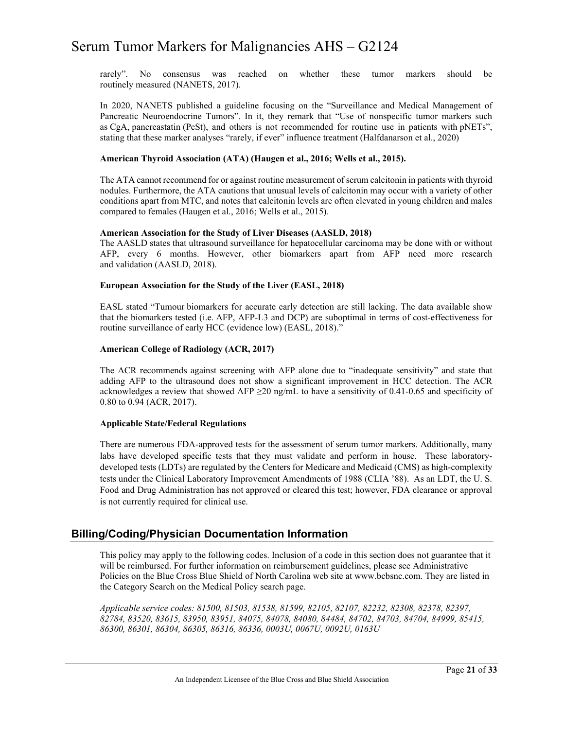rarely". No consensus was reached on whether these tumor markers should be routinely measured (NANETS, 2017).

In 2020, NANETS published a guideline focusing on the "Surveillance and Medical Management of Pancreatic Neuroendocrine Tumors". In it, they remark that "Use of nonspecific tumor markers such as CgA, pancreastatin (PcSt), and others is not recommended for routine use in patients with pNETs", stating that these marker analyses "rarely, if ever" influence treatment (Halfdanarson et al., 2020)

#### **American Thyroid Association (ATA) (Haugen et al., 2016; Wells et al., 2015).**

The ATA cannot recommend for or against routine measurement of serum calcitonin in patients with thyroid nodules. Furthermore, the ATA cautions that unusual levels of calcitonin may occur with a variety of other conditions apart from MTC, and notes that calcitonin levels are often elevated in young children and males compared to females (Haugen et al., 2016; Wells et al., 2015).

#### **American Association for the Study of Liver Diseases (AASLD, 2018)**

The AASLD states that ultrasound surveillance for hepatocellular carcinoma may be done with or without AFP, every 6 months. However, other biomarkers apart from AFP need more research and validation (AASLD, 2018).

#### **European Association for the Study of the Liver (EASL, 2018)**

EASL stated "Tumour biomarkers for accurate early detection are still lacking. The data available show that the biomarkers tested (i.e. AFP, AFP-L3 and DCP) are suboptimal in terms of cost-effectiveness for routine surveillance of early HCC (evidence low) (EASL, 2018)."

#### **American College of Radiology (ACR, 2017)**

The ACR recommends against screening with AFP alone due to "inadequate sensitivity" and state that adding AFP to the ultrasound does not show a significant improvement in HCC detection. The ACR acknowledges a review that showed AFP  $\geq$ 20 ng/mL to have a sensitivity of 0.41-0.65 and specificity of 0.80 to 0.94 (ACR, 2017).

#### **Applicable State/Federal Regulations**

There are numerous FDA-approved tests for the assessment of serum tumor markers. Additionally, many labs have developed specific tests that they must validate and perform in house. These laboratorydeveloped tests (LDTs) are regulated by the Centers for Medicare and Medicaid (CMS) as high-complexity tests under the Clinical Laboratory Improvement Amendments of 1988 (CLIA '88). As an LDT, the U. S. Food and Drug Administration has not approved or cleared this test; however, FDA clearance or approval is not currently required for clinical use.

#### **Billing/Coding/Physician Documentation Information**

This policy may apply to the following codes. Inclusion of a code in this section does not guarantee that it will be reimbursed. For further information on reimbursement guidelines, please see Administrative Policies on the Blue Cross Blue Shield of North Carolina web site at www.bcbsnc.com. They are listed in the Category Search on the Medical Policy search page.

*Applicable service codes: 81500, 81503, 81538, 81599, 82105, 82107, 82232, 82308, 82378, 82397, 82784, 83520, 83615, 83950, 83951, 84075, 84078, 84080, 84484, 84702, 84703, 84704, 84999, 85415, 86300, 86301, 86304, 86305, 86316, 86336, 0003U, 0067U, 0092U, 0163U*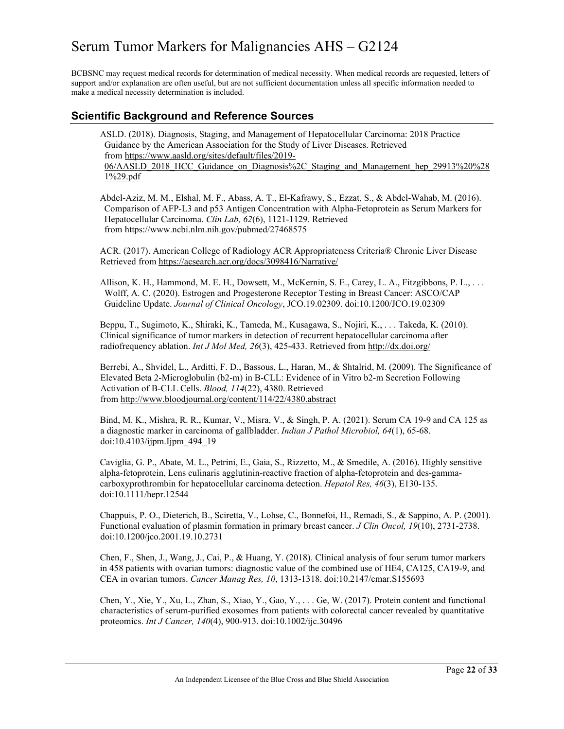BCBSNC may request medical records for determination of medical necessity. When medical records are requested, letters of support and/or explanation are often useful, but are not sufficient documentation unless all specific information needed to make a medical necessity determination is included.

### **Scientific Background and Reference Sources**

ASLD. (2018). Diagnosis, Staging, and Management of Hepatocellular Carcinoma: 2018 Practice Guidance by the American Association for the Study of Liver Diseases. Retrieved from [https://www.aasld.org/sites/default/files/2019-](https://www.aasld.org/sites/default/files/2019-06/AASLD_2018_HCC_Guidance_on_Diagnosis%2C_Staging_and_Management_hep_29913%20%281%29.pdf) [06/AASLD\\_2018\\_HCC\\_Guidance\\_on\\_Diagnosis%2C\\_Staging\\_and\\_Management\\_hep\\_29913%20%28](https://www.aasld.org/sites/default/files/2019-06/AASLD_2018_HCC_Guidance_on_Diagnosis%2C_Staging_and_Management_hep_29913%20%281%29.pdf)

[1%29.pdf](https://www.aasld.org/sites/default/files/2019-06/AASLD_2018_HCC_Guidance_on_Diagnosis%2C_Staging_and_Management_hep_29913%20%281%29.pdf)

Abdel-Aziz, M. M., Elshal, M. F., Abass, A. T., El-Kafrawy, S., Ezzat, S., & Abdel-Wahab, M. (2016). Comparison of AFP-L3 and p53 Antigen Concentration with Alpha-Fetoprotein as Serum Markers for Hepatocellular Carcinoma. *Clin Lab, 62*(6), 1121-1129. Retrieved from <https://www.ncbi.nlm.nih.gov/pubmed/27468575>

ACR. (2017). American College of Radiology ACR Appropriateness Criteria® Chronic Liver Disease Retrieved from <https://acsearch.acr.org/docs/3098416/Narrative/>

Allison, K. H., Hammond, M. E. H., Dowsett, M., McKernin, S. E., Carey, L. A., Fitzgibbons, P. L., . . . Wolff, A. C. (2020). Estrogen and Progesterone Receptor Testing in Breast Cancer: ASCO/CAP Guideline Update. *Journal of Clinical Oncology*, JCO.19.02309. doi:10.1200/JCO.19.02309

Beppu, T., Sugimoto, K., Shiraki, K., Tameda, M., Kusagawa, S., Nojiri, K., . . . Takeda, K. (2010). Clinical significance of tumor markers in detection of recurrent hepatocellular carcinoma after radiofrequency ablation. *Int J Mol Med, 26*(3), 425-433. Retrieved from <http://dx.doi.org/>

Berrebi, A., Shvidel, L., Arditti, F. D., Bassous, L., Haran, M., & Shtalrid, M. (2009). The Significance of Elevated Beta 2-Microglobulin (b2-m) in B-CLL: Evidence of in Vitro b2-m Secretion Following Activation of B-CLL Cells. *Blood, 114*(22), 4380. Retrieved from <http://www.bloodjournal.org/content/114/22/4380.abstract>

Bind, M. K., Mishra, R. R., Kumar, V., Misra, V., & Singh, P. A. (2021). Serum CA 19-9 and CA 125 as a diagnostic marker in carcinoma of gallbladder. *Indian J Pathol Microbiol, 64*(1), 65-68. doi:10.4103/ijpm.Ijpm\_494\_19

Caviglia, G. P., Abate, M. L., Petrini, E., Gaia, S., Rizzetto, M., & Smedile, A. (2016). Highly sensitive alpha-fetoprotein, Lens culinaris agglutinin-reactive fraction of alpha-fetoprotein and des-gammacarboxyprothrombin for hepatocellular carcinoma detection. *Hepatol Res, 46*(3), E130-135. doi:10.1111/hepr.12544

Chappuis, P. O., Dieterich, B., Sciretta, V., Lohse, C., Bonnefoi, H., Remadi, S., & Sappino, A. P. (2001). Functional evaluation of plasmin formation in primary breast cancer. *J Clin Oncol, 19*(10), 2731-2738. doi:10.1200/jco.2001.19.10.2731

Chen, F., Shen, J., Wang, J., Cai, P., & Huang, Y. (2018). Clinical analysis of four serum tumor markers in 458 patients with ovarian tumors: diagnostic value of the combined use of HE4, CA125, CA19-9, and CEA in ovarian tumors. *Cancer Manag Res, 10*, 1313-1318. doi:10.2147/cmar.S155693

Chen, Y., Xie, Y., Xu, L., Zhan, S., Xiao, Y., Gao, Y., . . . Ge, W. (2017). Protein content and functional characteristics of serum-purified exosomes from patients with colorectal cancer revealed by quantitative proteomics. *Int J Cancer, 140*(4), 900-913. doi:10.1002/ijc.30496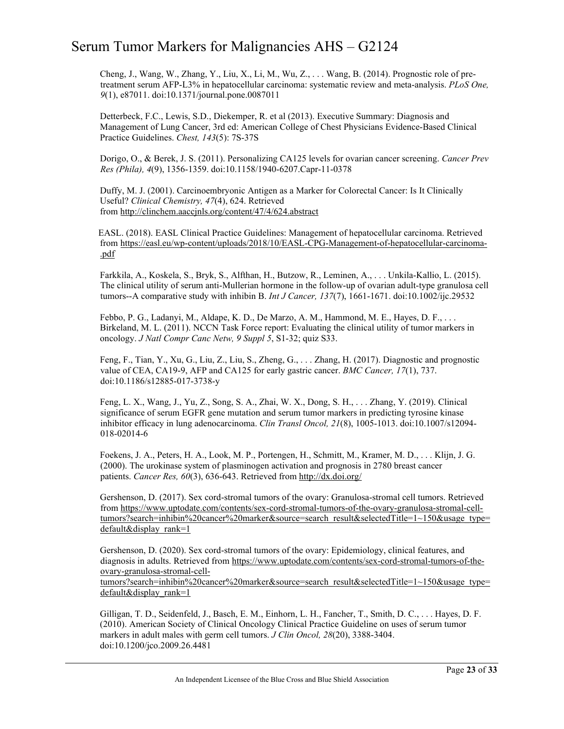Cheng, J., Wang, W., Zhang, Y., Liu, X., Li, M., Wu, Z., . . . Wang, B. (2014). Prognostic role of pretreatment serum AFP-L3% in hepatocellular carcinoma: systematic review and meta-analysis. *PLoS One, 9*(1), e87011. doi:10.1371/journal.pone.0087011

Detterbeck, F.C., Lewis, S.D., Diekemper, R. et al (2013). Executive Summary: Diagnosis and Management of Lung Cancer, 3rd ed: American College of Chest Physicians Evidence-Based Clinical Practice Guidelines. *Chest, 143*(5): 7S-37S

Dorigo, O., & Berek, J. S. (2011). Personalizing CA125 levels for ovarian cancer screening. *Cancer Prev Res (Phila), 4*(9), 1356-1359. doi:10.1158/1940-6207.Capr-11-0378

Duffy, M. J. (2001). Carcinoembryonic Antigen as a Marker for Colorectal Cancer: Is It Clinically Useful? *Clinical Chemistry, 47*(4), 624. Retrieved from <http://clinchem.aaccjnls.org/content/47/4/624.abstract>

EASL. (2018). EASL Clinical Practice Guidelines: Management of hepatocellular carcinoma. Retrieved from [https://easl.eu/wp-content/uploads/2018/10/EASL-CPG-Management-of-hepatocellular-carcinoma-](https://easl.eu/wp-content/uploads/2018/10/EASL-CPG-Management-of-hepatocellular-carcinoma-.pdf) [.pdf](https://easl.eu/wp-content/uploads/2018/10/EASL-CPG-Management-of-hepatocellular-carcinoma-.pdf)

Farkkila, A., Koskela, S., Bryk, S., Alfthan, H., Butzow, R., Leminen, A., . . . Unkila-Kallio, L. (2015). The clinical utility of serum anti-Mullerian hormone in the follow-up of ovarian adult-type granulosa cell tumors--A comparative study with inhibin B. *Int J Cancer, 137*(7), 1661-1671. doi:10.1002/ijc.29532

Febbo, P. G., Ladanyi, M., Aldape, K. D., De Marzo, A. M., Hammond, M. E., Hayes, D. F., . . . Birkeland, M. L. (2011). NCCN Task Force report: Evaluating the clinical utility of tumor markers in oncology. *J Natl Compr Canc Netw, 9 Suppl 5*, S1-32; quiz S33.

Feng, F., Tian, Y., Xu, G., Liu, Z., Liu, S., Zheng, G., . . . Zhang, H. (2017). Diagnostic and prognostic value of CEA, CA19-9, AFP and CA125 for early gastric cancer. *BMC Cancer, 17*(1), 737. doi:10.1186/s12885-017-3738-y

Feng, L. X., Wang, J., Yu, Z., Song, S. A., Zhai, W. X., Dong, S. H., . . . Zhang, Y. (2019). Clinical significance of serum EGFR gene mutation and serum tumor markers in predicting tyrosine kinase inhibitor efficacy in lung adenocarcinoma. *Clin Transl Oncol, 21*(8), 1005-1013. doi:10.1007/s12094- 018-02014-6

Foekens, J. A., Peters, H. A., Look, M. P., Portengen, H., Schmitt, M., Kramer, M. D., . . . Klijn, J. G. (2000). The urokinase system of plasminogen activation and prognosis in 2780 breast cancer patients. *Cancer Res, 60*(3), 636-643. Retrieved from <http://dx.doi.org/>

Gershenson, D. (2017). Sex cord-stromal tumors of the ovary: Granulosa-stromal cell tumors. Retrieved from [https://www.uptodate.com/contents/sex-cord-stromal-tumors-of-the-ovary-granulosa-stromal-cell](https://www.uptodate.com/contents/sex-cord-stromal-tumors-of-the-ovary-granulosa-stromal-cell-tumors?search=inhibin%20cancer%20marker&source=search_result&selectedTitle=1%7E150&usage_type=default&display_rank=1)[tumors?search=inhibin%20cancer%20marker&source=search\\_result&selectedTitle=1~150&usage\\_type=](https://www.uptodate.com/contents/sex-cord-stromal-tumors-of-the-ovary-granulosa-stromal-cell-tumors?search=inhibin%20cancer%20marker&source=search_result&selectedTitle=1%7E150&usage_type=default&display_rank=1) [default&display\\_rank=1](https://www.uptodate.com/contents/sex-cord-stromal-tumors-of-the-ovary-granulosa-stromal-cell-tumors?search=inhibin%20cancer%20marker&source=search_result&selectedTitle=1%7E150&usage_type=default&display_rank=1)

Gershenson, D. (2020). Sex cord-stromal tumors of the ovary: Epidemiology, clinical features, and diagnosis in adults. Retrieved from [https://www.uptodate.com/contents/sex-cord-stromal-tumors-of-the](https://www.uptodate.com/contents/sex-cord-stromal-tumors-of-the-ovary-granulosa-stromal-cell-tumors?search=inhibin%20cancer%20marker&source=search_result&selectedTitle=1%7E150&usage_type=default&display_rank=1)[ovary-granulosa-stromal-cell](https://www.uptodate.com/contents/sex-cord-stromal-tumors-of-the-ovary-granulosa-stromal-cell-tumors?search=inhibin%20cancer%20marker&source=search_result&selectedTitle=1%7E150&usage_type=default&display_rank=1)[tumors?search=inhibin%20cancer%20marker&source=search\\_result&selectedTitle=1~150&usage\\_type=](https://www.uptodate.com/contents/sex-cord-stromal-tumors-of-the-ovary-granulosa-stromal-cell-tumors?search=inhibin%20cancer%20marker&source=search_result&selectedTitle=1%7E150&usage_type=default&display_rank=1)

[default&display\\_rank=1](https://www.uptodate.com/contents/sex-cord-stromal-tumors-of-the-ovary-granulosa-stromal-cell-tumors?search=inhibin%20cancer%20marker&source=search_result&selectedTitle=1%7E150&usage_type=default&display_rank=1)

Gilligan, T. D., Seidenfeld, J., Basch, E. M., Einhorn, L. H., Fancher, T., Smith, D. C., . . . Hayes, D. F. (2010). American Society of Clinical Oncology Clinical Practice Guideline on uses of serum tumor markers in adult males with germ cell tumors. *J Clin Oncol, 28*(20), 3388-3404. doi:10.1200/jco.2009.26.4481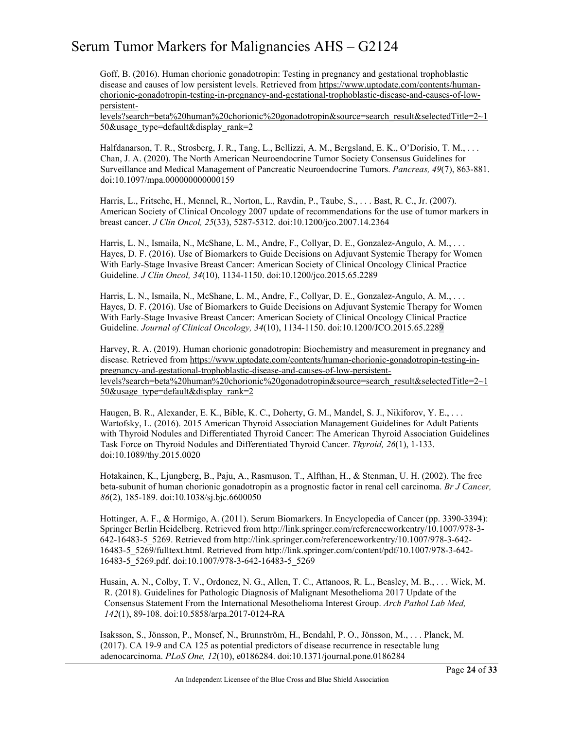Goff, B. (2016). Human chorionic gonadotropin: Testing in pregnancy and gestational trophoblastic disease and causes of low persistent levels. Retrieved from [https://www.uptodate.com/contents/human](https://www.uptodate.com/contents/human-chorionic-gonadotropin-testing-in-pregnancy-and-gestational-trophoblastic-disease-and-causes-of-low-persistent-levels?search=beta%20human%20chorionic%20gonadotropin&source=search_result&selectedTitle=2%7E150&usage_type=default&display_rank=2)[chorionic-gonadotropin-testing-in-pregnancy-and-gestational-trophoblastic-disease-and-causes-of-low](https://www.uptodate.com/contents/human-chorionic-gonadotropin-testing-in-pregnancy-and-gestational-trophoblastic-disease-and-causes-of-low-persistent-levels?search=beta%20human%20chorionic%20gonadotropin&source=search_result&selectedTitle=2%7E150&usage_type=default&display_rank=2)[persistent-](https://www.uptodate.com/contents/human-chorionic-gonadotropin-testing-in-pregnancy-and-gestational-trophoblastic-disease-and-causes-of-low-persistent-levels?search=beta%20human%20chorionic%20gonadotropin&source=search_result&selectedTitle=2%7E150&usage_type=default&display_rank=2)

[levels?search=beta%20human%20chorionic%20gonadotropin&source=search\\_result&selectedTitle=2~1](https://www.uptodate.com/contents/human-chorionic-gonadotropin-testing-in-pregnancy-and-gestational-trophoblastic-disease-and-causes-of-low-persistent-levels?search=beta%20human%20chorionic%20gonadotropin&source=search_result&selectedTitle=2%7E150&usage_type=default&display_rank=2) [50&usage\\_type=default&display\\_rank=2](https://www.uptodate.com/contents/human-chorionic-gonadotropin-testing-in-pregnancy-and-gestational-trophoblastic-disease-and-causes-of-low-persistent-levels?search=beta%20human%20chorionic%20gonadotropin&source=search_result&selectedTitle=2%7E150&usage_type=default&display_rank=2)

Halfdanarson, T. R., Strosberg, J. R., Tang, L., Bellizzi, A. M., Bergsland, E. K., O'Dorisio, T. M., . . . Chan, J. A. (2020). The North American Neuroendocrine Tumor Society Consensus Guidelines for Surveillance and Medical Management of Pancreatic Neuroendocrine Tumors. *Pancreas, 49*(7), 863-881. doi:10.1097/mpa.000000000000159

Harris, L., Fritsche, H., Mennel, R., Norton, L., Ravdin, P., Taube, S., . . . Bast, R. C., Jr. (2007). American Society of Clinical Oncology 2007 update of recommendations for the use of tumor markers in breast cancer. *J Clin Oncol, 25*(33), 5287-5312. doi:10.1200/jco.2007.14.2364

Harris, L. N., Ismaila, N., McShane, L. M., Andre, F., Collyar, D. E., Gonzalez-Angulo, A. M., . . . Hayes, D. F. (2016). Use of Biomarkers to Guide Decisions on Adjuvant Systemic Therapy for Women With Early-Stage Invasive Breast Cancer: American Society of Clinical Oncology Clinical Practice Guideline. *J Clin Oncol, 34*(10), 1134-1150. doi:10.1200/jco.2015.65.2289

Harris, L. N., Ismaila, N., McShane, L. M., Andre, F., Collyar, D. E., Gonzalez-Angulo, A. M., . . . Hayes, D. F. (2016). Use of Biomarkers to Guide Decisions on Adjuvant Systemic Therapy for Women With Early-Stage Invasive Breast Cancer: American Society of Clinical Oncology Clinical Practice Guideline. *Journal of Clinical Oncology, 34*(10), 1134-1150. doi:10.1200/JCO.2015.65.2289

Harvey, R. A. (2019). Human chorionic gonadotropin: Biochemistry and measurement in pregnancy and disease. Retrieved from [https://www.uptodate.com/contents/human-chorionic-gonadotropin-testing-in](https://www.uptodate.com/contents/human-chorionic-gonadotropin-testing-in-pregnancy-and-gestational-trophoblastic-disease-and-causes-of-low-persistent-levels?search=beta%20human%20chorionic%20gonadotropin&source=search_result&selectedTitle=2%7E150&usage_type=default&display_rank=2)[pregnancy-and-gestational-trophoblastic-disease-and-causes-of-low-persistent](https://www.uptodate.com/contents/human-chorionic-gonadotropin-testing-in-pregnancy-and-gestational-trophoblastic-disease-and-causes-of-low-persistent-levels?search=beta%20human%20chorionic%20gonadotropin&source=search_result&selectedTitle=2%7E150&usage_type=default&display_rank=2)[levels?search=beta%20human%20chorionic%20gonadotropin&source=search\\_result&selectedTitle=2~1](https://www.uptodate.com/contents/human-chorionic-gonadotropin-testing-in-pregnancy-and-gestational-trophoblastic-disease-and-causes-of-low-persistent-levels?search=beta%20human%20chorionic%20gonadotropin&source=search_result&selectedTitle=2%7E150&usage_type=default&display_rank=2) [50&usage\\_type=default&display\\_rank=2](https://www.uptodate.com/contents/human-chorionic-gonadotropin-testing-in-pregnancy-and-gestational-trophoblastic-disease-and-causes-of-low-persistent-levels?search=beta%20human%20chorionic%20gonadotropin&source=search_result&selectedTitle=2%7E150&usage_type=default&display_rank=2)

Haugen, B. R., Alexander, E. K., Bible, K. C., Doherty, G. M., Mandel, S. J., Nikiforov, Y. E., . . . Wartofsky, L. (2016). 2015 American Thyroid Association Management Guidelines for Adult Patients with Thyroid Nodules and Differentiated Thyroid Cancer: The American Thyroid Association Guidelines Task Force on Thyroid Nodules and Differentiated Thyroid Cancer. *Thyroid, 26*(1), 1-133. doi:10.1089/thy.2015.0020

Hotakainen, K., Ljungberg, B., Paju, A., Rasmuson, T., Alfthan, H., & Stenman, U. H. (2002). The free beta-subunit of human chorionic gonadotropin as a prognostic factor in renal cell carcinoma. *Br J Cancer, 86*(2), 185-189. doi:10.1038/sj.bjc.6600050

Hottinger, A. F., & Hormigo, A. (2011). Serum Biomarkers. In Encyclopedia of Cancer (pp. 3390-3394): Springer Berlin Heidelberg. Retrieved from http://link.springer.com/referenceworkentry/10.1007/978-3- 642-16483-5\_5269. Retrieved from http://link.springer.com/referenceworkentry/10.1007/978-3-642- 16483-5\_5269/fulltext.html. Retrieved from http://link.springer.com/content/pdf/10.1007/978-3-642- 16483-5\_5269.pdf. doi:10.1007/978-3-642-16483-5\_5269

Husain, A. N., Colby, T. V., Ordonez, N. G., Allen, T. C., Attanoos, R. L., Beasley, M. B., . . . Wick, M. R. (2018). Guidelines for Pathologic Diagnosis of Malignant Mesothelioma 2017 Update of the Consensus Statement From the International Mesothelioma Interest Group. *Arch Pathol Lab Med, 142*(1), 89-108. doi:10.5858/arpa.2017-0124-RA

Isaksson, S., Jönsson, P., Monsef, N., Brunnström, H., Bendahl, P. O., Jönsson, M., . . . Planck, M. (2017). CA 19-9 and CA 125 as potential predictors of disease recurrence in resectable lung adenocarcinoma. *PLoS One, 12*(10), e0186284. doi:10.1371/journal.pone.0186284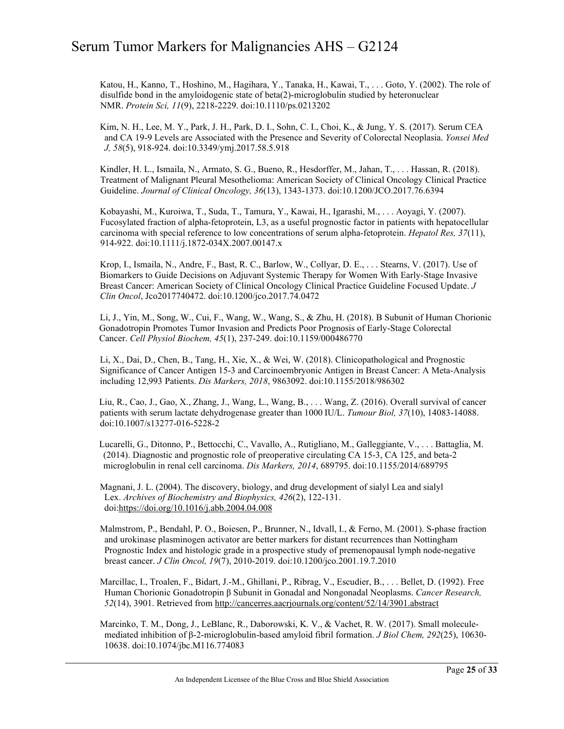Katou, H., Kanno, T., Hoshino, M., Hagihara, Y., Tanaka, H., Kawai, T., . . . Goto, Y. (2002). The role of disulfide bond in the amyloidogenic state of beta(2)-microglobulin studied by heteronuclear NMR. *Protein Sci, 11*(9), 2218-2229. doi:10.1110/ps.0213202

Kim, N. H., Lee, M. Y., Park, J. H., Park, D. I., Sohn, C. I., Choi, K., & Jung, Y. S. (2017). Serum CEA and CA 19-9 Levels are Associated with the Presence and Severity of Colorectal Neoplasia. *Yonsei Med J, 58*(5), 918-924. doi:10.3349/ymj.2017.58.5.918

Kindler, H. L., Ismaila, N., Armato, S. G., Bueno, R., Hesdorffer, M., Jahan, T., . . . Hassan, R. (2018). Treatment of Malignant Pleural Mesothelioma: American Society of Clinical Oncology Clinical Practice Guideline. *Journal of Clinical Oncology, 36*(13), 1343-1373. doi:10.1200/JCO.2017.76.6394

Kobayashi, M., Kuroiwa, T., Suda, T., Tamura, Y., Kawai, H., Igarashi, M., . . . Aoyagi, Y. (2007). Fucosylated fraction of alpha-fetoprotein, L3, as a useful prognostic factor in patients with hepatocellular carcinoma with special reference to low concentrations of serum alpha-fetoprotein. *Hepatol Res, 37*(11), 914-922. doi:10.1111/j.1872-034X.2007.00147.x

Krop, I., Ismaila, N., Andre, F., Bast, R. C., Barlow, W., Collyar, D. E., . . . Stearns, V. (2017). Use of Biomarkers to Guide Decisions on Adjuvant Systemic Therapy for Women With Early-Stage Invasive Breast Cancer: American Society of Clinical Oncology Clinical Practice Guideline Focused Update. *J Clin Oncol*, Jco2017740472. doi:10.1200/jco.2017.74.0472

Li, J., Yin, M., Song, W., Cui, F., Wang, W., Wang, S., & Zhu, H. (2018). B Subunit of Human Chorionic Gonadotropin Promotes Tumor Invasion and Predicts Poor Prognosis of Early-Stage Colorectal Cancer. *Cell Physiol Biochem, 45*(1), 237-249. doi:10.1159/000486770

Li, X., Dai, D., Chen, B., Tang, H., Xie, X., & Wei, W. (2018). Clinicopathological and Prognostic Significance of Cancer Antigen 15-3 and Carcinoembryonic Antigen in Breast Cancer: A Meta-Analysis including 12,993 Patients. *Dis Markers, 2018*, 9863092. doi:10.1155/2018/986302

Liu, R., Cao, J., Gao, X., Zhang, J., Wang, L., Wang, B., . . . Wang, Z. (2016). Overall survival of cancer patients with serum lactate dehydrogenase greater than 1000 IU/L. *Tumour Biol, 37*(10), 14083-14088. doi:10.1007/s13277-016-5228-2

Lucarelli, G., Ditonno, P., Bettocchi, C., Vavallo, A., Rutigliano, M., Galleggiante, V., . . . Battaglia, M. (2014). Diagnostic and prognostic role of preoperative circulating CA 15-3, CA 125, and beta-2 microglobulin in renal cell carcinoma. *Dis Markers, 2014*, 689795. doi:10.1155/2014/689795

Magnani, J. L. (2004). The discovery, biology, and drug development of sialyl Lea and sialyl Lex. *Archives of Biochemistry and Biophysics, 426*(2), 122-131. doi[:https://doi.org/10.1016/j.abb.2004.04.008](https://doi.org/10.1016/j.abb.2004.04.008)

Malmstrom, P., Bendahl, P. O., Boiesen, P., Brunner, N., Idvall, I., & Ferno, M. (2001). S-phase fraction and urokinase plasminogen activator are better markers for distant recurrences than Nottingham Prognostic Index and histologic grade in a prospective study of premenopausal lymph node-negative breast cancer. *J Clin Oncol, 19*(7), 2010-2019. doi:10.1200/jco.2001.19.7.2010

Marcillac, I., Troalen, F., Bidart, J.-M., Ghillani, P., Ribrag, V., Escudier, B., . . . Bellet, D. (1992). Free Human Chorionic Gonadotropin β Subunit in Gonadal and Nongonadal Neoplasms. *Cancer Research, 52*(14), 3901. Retrieved from <http://cancerres.aacrjournals.org/content/52/14/3901.abstract>

Marcinko, T. M., Dong, J., LeBlanc, R., Daborowski, K. V., & Vachet, R. W. (2017). Small moleculemediated inhibition of β-2-microglobulin-based amyloid fibril formation. *J Biol Chem, 292*(25), 10630- 10638. doi:10.1074/jbc.M116.774083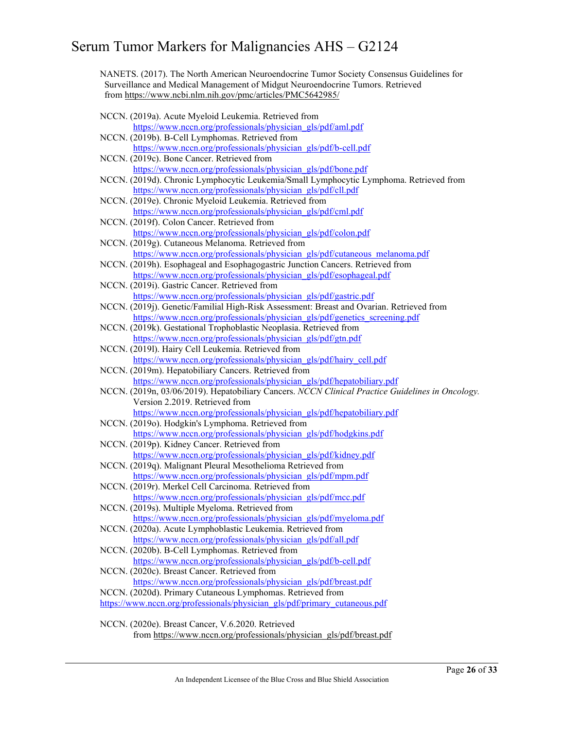NANETS. (2017). The North American Neuroendocrine Tumor Society Consensus Guidelines for Surveillance and Medical Management of Midgut Neuroendocrine Tumors. Retrieved from <https://www.ncbi.nlm.nih.gov/pmc/articles/PMC5642985/>

| NCCN. (2019a). Acute Myeloid Leukemia. Retrieved from                                                                                                         |
|---------------------------------------------------------------------------------------------------------------------------------------------------------------|
| https://www.nccn.org/professionals/physician gls/pdf/aml.pdf                                                                                                  |
| NCCN. (2019b). B-Cell Lymphomas. Retrieved from                                                                                                               |
| https://www.nccn.org/professionals/physician gls/pdf/b-cell.pdf                                                                                               |
| NCCN. (2019c). Bone Cancer. Retrieved from                                                                                                                    |
| https://www.nccn.org/professionals/physician gls/pdf/bone.pdf                                                                                                 |
| NCCN. (2019d). Chronic Lymphocytic Leukemia/Small Lymphocytic Lymphoma. Retrieved from                                                                        |
| https://www.nccn.org/professionals/physician gls/pdf/cll.pdf                                                                                                  |
| NCCN. (2019e). Chronic Myeloid Leukemia. Retrieved from                                                                                                       |
| https://www.nccn.org/professionals/physician_gls/pdf/cml.pdf                                                                                                  |
| NCCN. (2019f). Colon Cancer. Retrieved from                                                                                                                   |
| https://www.nccn.org/professionals/physician_gls/pdf/colon.pdf                                                                                                |
| NCCN. (2019g). Cutaneous Melanoma. Retrieved from                                                                                                             |
| https://www.nccn.org/professionals/physician gls/pdf/cutaneous melanoma.pdf<br>NCCN. (2019h). Esophageal and Esophagogastric Junction Cancers. Retrieved from |
| https://www.nccn.org/professionals/physician_gls/pdf/esophageal.pdf                                                                                           |
| NCCN. (2019i). Gastric Cancer. Retrieved from                                                                                                                 |
| https://www.nccn.org/professionals/physician_gls/pdf/gastric.pdf                                                                                              |
| NCCN. (2019j). Genetic/Familial High-Risk Assessment: Breast and Ovarian. Retrieved from                                                                      |
| https://www.nccn.org/professionals/physician gls/pdf/genetics screening.pdf                                                                                   |
| NCCN. (2019k). Gestational Trophoblastic Neoplasia. Retrieved from                                                                                            |
| https://www.nccn.org/professionals/physician gls/pdf/gtn.pdf                                                                                                  |
| NCCN. (2019l). Hairy Cell Leukemia. Retrieved from                                                                                                            |
| https://www.nccn.org/professionals/physician gls/pdf/hairy cell.pdf                                                                                           |
| NCCN. (2019m). Hepatobiliary Cancers. Retrieved from                                                                                                          |
| https://www.nccn.org/professionals/physician_gls/pdf/hepatobiliary.pdf                                                                                        |
| NCCN. (2019n, 03/06/2019). Hepatobiliary Cancers. NCCN Clinical Practice Guidelines in Oncology.                                                              |
| Version 2.2019. Retrieved from                                                                                                                                |
| https://www.nccn.org/professionals/physician_gls/pdf/hepatobiliary.pdf                                                                                        |
| NCCN. (2019o). Hodgkin's Lymphoma. Retrieved from                                                                                                             |
| https://www.nccn.org/professionals/physician_gls/pdf/hodgkins.pdf                                                                                             |
| NCCN. (2019p). Kidney Cancer. Retrieved from                                                                                                                  |
| https://www.nccn.org/professionals/physician_gls/pdf/kidney.pdf                                                                                               |
| NCCN. (2019q). Malignant Pleural Mesothelioma Retrieved from                                                                                                  |
| https://www.nccn.org/professionals/physician gls/pdf/mpm.pdf<br>NCCN. (2019r). Merkel Cell Carcinoma. Retrieved from                                          |
| https://www.nccn.org/professionals/physician_gls/pdf/mcc.pdf                                                                                                  |
| NCCN. (2019s). Multiple Myeloma. Retrieved from                                                                                                               |
| https://www.nccn.org/professionals/physician_gls/pdf/myeloma.pdf                                                                                              |
| NCCN. (2020a). Acute Lymphoblastic Leukemia. Retrieved from                                                                                                   |
| https://www.nccn.org/professionals/physician gls/pdf/all.pdf                                                                                                  |
| NCCN. (2020b). B-Cell Lymphomas. Retrieved from                                                                                                               |
| https://www.nccn.org/professionals/physician gls/pdf/b-cell.pdf                                                                                               |
| NCCN. (2020c). Breast Cancer. Retrieved from                                                                                                                  |
| https://www.nccn.org/professionals/physician gls/pdf/breast.pdf                                                                                               |
| NCCN. (2020d). Primary Cutaneous Lymphomas. Retrieved from                                                                                                    |
| https://www.nccn.org/professionals/physician gls/pdf/primary cutaneous.pdf                                                                                    |
|                                                                                                                                                               |

NCCN. (2020e). Breast Cancer, V.6.2020. Retrieved from [https://www.nccn.org/professionals/physician\\_gls/pdf/breast.pdf](https://www.nccn.org/professionals/physician_gls/pdf/breast.pdf)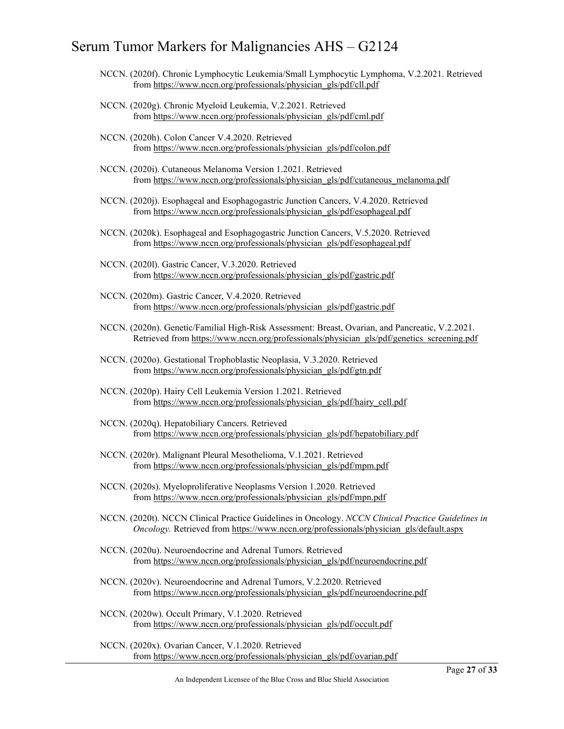- NCCN. (2020f). Chronic Lymphocytic Leukemia/Small Lymphocytic Lymphoma, V.2.2021. Retrieved from [https://www.nccn.org/professionals/physician\\_gls/pdf/cll.pdf](https://www.nccn.org/professionals/physician_gls/pdf/cll.pdf)
- NCCN. (2020g). Chronic Myeloid Leukemia, V.2.2021. Retrieved from [https://www.nccn.org/professionals/physician\\_gls/pdf/cml.pdf](https://www.nccn.org/professionals/physician_gls/pdf/cml.pdf)
- NCCN. (2020h). Colon Cancer V.4.2020. Retrieved from [https://www.nccn.org/professionals/physician\\_gls/pdf/colon.pdf](https://www.nccn.org/professionals/physician_gls/pdf/colon.pdf)
- NCCN. (2020i). Cutaneous Melanoma Version 1.2021. Retrieved from [https://www.nccn.org/professionals/physician\\_gls/pdf/cutaneous\\_melanoma.pdf](https://www.nccn.org/professionals/physician_gls/pdf/cutaneous_melanoma.pdf)
- NCCN. (2020j). Esophageal and Esophagogastric Junction Cancers, V.4.2020. Retrieved from [https://www.nccn.org/professionals/physician\\_gls/pdf/esophageal.pdf](https://www.nccn.org/professionals/physician_gls/pdf/esophageal.pdf)
- NCCN. (2020k). Esophageal and Esophagogastric Junction Cancers, V.5.2020. Retrieved from [https://www.nccn.org/professionals/physician\\_gls/pdf/esophageal.pdf](https://www.nccn.org/professionals/physician_gls/pdf/esophageal.pdf)
- NCCN. (2020l). Gastric Cancer, V.3.2020. Retrieved from [https://www.nccn.org/professionals/physician\\_gls/pdf/gastric.pdf](https://www.nccn.org/professionals/physician_gls/pdf/gastric.pdf)
- NCCN. (2020m). Gastric Cancer, V.4.2020. Retrieved from [https://www.nccn.org/professionals/physician\\_gls/pdf/gastric.pdf](https://www.nccn.org/professionals/physician_gls/pdf/gastric.pdf)
- NCCN. (2020n). Genetic/Familial High-Risk Assessment: Breast, Ovarian, and Pancreatic, V.2.2021. Retrieved from [https://www.nccn.org/professionals/physician\\_gls/pdf/genetics\\_screening.pdf](https://www.nccn.org/professionals/physician_gls/pdf/genetics_screening.pdf)
- NCCN. (2020o). Gestational Trophoblastic Neoplasia, V.3.2020. Retrieved from [https://www.nccn.org/professionals/physician\\_gls/pdf/gtn.pdf](https://www.nccn.org/professionals/physician_gls/pdf/gtn.pdf)
- NCCN. (2020p). Hairy Cell Leukemia Version 1.2021. Retrieved from [https://www.nccn.org/professionals/physician\\_gls/pdf/hairy\\_cell.pdf](https://www.nccn.org/professionals/physician_gls/pdf/hairy_cell.pdf)
- NCCN. (2020q). Hepatobiliary Cancers. Retrieved from [https://www.nccn.org/professionals/physician\\_gls/pdf/hepatobiliary.pdf](https://www.nccn.org/professionals/physician_gls/pdf/hepatobiliary.pdf)
- NCCN. (2020r). Malignant Pleural Mesothelioma, V.1.2021. Retrieved from [https://www.nccn.org/professionals/physician\\_gls/pdf/mpm.pdf](https://www.nccn.org/professionals/physician_gls/pdf/mpm.pdf)
- NCCN. (2020s). Myeloproliferative Neoplasms Version 1.2020. Retrieved from [https://www.nccn.org/professionals/physician\\_gls/pdf/mpn.pdf](https://www.nccn.org/professionals/physician_gls/pdf/mpn.pdf)
- NCCN. (2020t). NCCN Clinical Practice Guidelines in Oncology. *NCCN Clinical Practice Guidelines in Oncology.* Retrieved from https://www.nccn.org/professionals/physician gls/default.aspx
- NCCN. (2020u). Neuroendocrine and Adrenal Tumors. Retrieved from [https://www.nccn.org/professionals/physician\\_gls/pdf/neuroendocrine.pdf](https://www.nccn.org/professionals/physician_gls/pdf/neuroendocrine.pdf)
- NCCN. (2020v). Neuroendocrine and Adrenal Tumors, V.2.2020. Retrieved from [https://www.nccn.org/professionals/physician\\_gls/pdf/neuroendocrine.pdf](https://www.nccn.org/professionals/physician_gls/pdf/neuroendocrine.pdf)
- NCCN. (2020w). Occult Primary, V.1.2020. Retrieved from [https://www.nccn.org/professionals/physician\\_gls/pdf/occult.pdf](https://www.nccn.org/professionals/physician_gls/pdf/occult.pdf)
- NCCN. (2020x). Ovarian Cancer, V.1.2020. Retrieved from [https://www.nccn.org/professionals/physician\\_gls/pdf/ovarian.pdf](https://www.nccn.org/professionals/physician_gls/pdf/ovarian.pdf)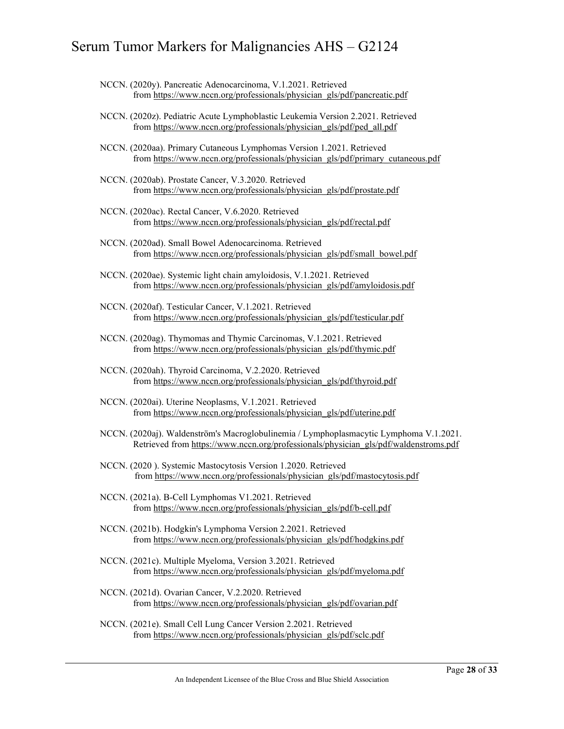- NCCN. (2020y). Pancreatic Adenocarcinoma, V.1.2021. Retrieved from [https://www.nccn.org/professionals/physician\\_gls/pdf/pancreatic.pdf](https://www.nccn.org/professionals/physician_gls/pdf/pancreatic.pdf)
- NCCN. (2020z). Pediatric Acute Lymphoblastic Leukemia Version 2.2021. Retrieved from [https://www.nccn.org/professionals/physician\\_gls/pdf/ped\\_all.pdf](https://www.nccn.org/professionals/physician_gls/pdf/ped_all.pdf)
- NCCN. (2020aa). Primary Cutaneous Lymphomas Version 1.2021. Retrieved from [https://www.nccn.org/professionals/physician\\_gls/pdf/primary\\_cutaneous.pdf](https://www.nccn.org/professionals/physician_gls/pdf/primary_cutaneous.pdf)
- NCCN. (2020ab). Prostate Cancer, V.3.2020. Retrieved from [https://www.nccn.org/professionals/physician\\_gls/pdf/prostate.pdf](https://www.nccn.org/professionals/physician_gls/pdf/prostate.pdf)
- NCCN. (2020ac). Rectal Cancer, V.6.2020. Retrieved from [https://www.nccn.org/professionals/physician\\_gls/pdf/rectal.pdf](https://www.nccn.org/professionals/physician_gls/pdf/rectal.pdf)
- NCCN. (2020ad). Small Bowel Adenocarcinoma. Retrieved from [https://www.nccn.org/professionals/physician\\_gls/pdf/small\\_bowel.pdf](https://www.nccn.org/professionals/physician_gls/pdf/small_bowel.pdf)
- NCCN. (2020ae). Systemic light chain amyloidosis, V.1.2021. Retrieved from [https://www.nccn.org/professionals/physician\\_gls/pdf/amyloidosis.pdf](https://www.nccn.org/professionals/physician_gls/pdf/amyloidosis.pdf)
- NCCN. (2020af). Testicular Cancer, V.1.2021. Retrieved from [https://www.nccn.org/professionals/physician\\_gls/pdf/testicular.pdf](https://www.nccn.org/professionals/physician_gls/pdf/testicular.pdf)
- NCCN. (2020ag). Thymomas and Thymic Carcinomas, V.1.2021. Retrieved from [https://www.nccn.org/professionals/physician\\_gls/pdf/thymic.pdf](https://www.nccn.org/professionals/physician_gls/pdf/thymic.pdf)
- NCCN. (2020ah). Thyroid Carcinoma, V.2.2020. Retrieved from [https://www.nccn.org/professionals/physician\\_gls/pdf/thyroid.pdf](https://www.nccn.org/professionals/physician_gls/pdf/thyroid.pdf)
- NCCN. (2020ai). Uterine Neoplasms, V.1.2021. Retrieved from [https://www.nccn.org/professionals/physician\\_gls/pdf/uterine.pdf](https://www.nccn.org/professionals/physician_gls/pdf/uterine.pdf)
- NCCN. (2020aj). Waldenström's Macroglobulinemia / Lymphoplasmacytic Lymphoma V.1.2021. Retrieved from [https://www.nccn.org/professionals/physician\\_gls/pdf/waldenstroms.pdf](https://www.nccn.org/professionals/physician_gls/pdf/waldenstroms.pdf)
- NCCN. (2020 ). Systemic Mastocytosis Version 1.2020. Retrieved from [https://www.nccn.org/professionals/physician\\_gls/pdf/mastocytosis.pdf](https://www.nccn.org/professionals/physician_gls/pdf/mastocytosis.pdf)
- NCCN. (2021a). B-Cell Lymphomas V1.2021. Retrieved from [https://www.nccn.org/professionals/physician\\_gls/pdf/b-cell.pdf](https://www.nccn.org/professionals/physician_gls/pdf/b-cell.pdf)
- NCCN. (2021b). Hodgkin's Lymphoma Version 2.2021. Retrieved from [https://www.nccn.org/professionals/physician\\_gls/pdf/hodgkins.pdf](https://www.nccn.org/professionals/physician_gls/pdf/hodgkins.pdf)
- NCCN. (2021c). Multiple Myeloma, Version 3.2021. Retrieved from [https://www.nccn.org/professionals/physician\\_gls/pdf/myeloma.pdf](https://www.nccn.org/professionals/physician_gls/pdf/myeloma.pdf)
- NCCN. (2021d). Ovarian Cancer, V.2.2020. Retrieved from [https://www.nccn.org/professionals/physician\\_gls/pdf/ovarian.pdf](https://www.nccn.org/professionals/physician_gls/pdf/ovarian.pdf)
- NCCN. (2021e). Small Cell Lung Cancer Version 2.2021. Retrieved from [https://www.nccn.org/professionals/physician\\_gls/pdf/sclc.pdf](https://www.nccn.org/professionals/physician_gls/pdf/sclc.pdf)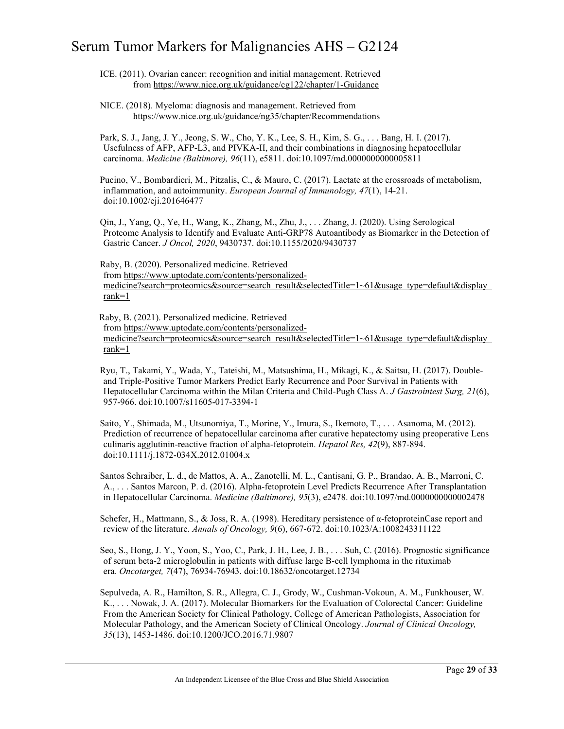ICE. (2011). Ovarian cancer: recognition and initial management. Retrieved from <https://www.nice.org.uk/guidance/cg122/chapter/1-Guidance>

NICE. (2018). Myeloma: diagnosis and management. Retrieved from https://www.nice.org.uk/guidance/ng35/chapter/Recommendations

Park, S. J., Jang, J. Y., Jeong, S. W., Cho, Y. K., Lee, S. H., Kim, S. G., . . . Bang, H. I. (2017). Usefulness of AFP, AFP-L3, and PIVKA-II, and their combinations in diagnosing hepatocellular carcinoma. *Medicine (Baltimore), 96*(11), e5811. doi:10.1097/md.0000000000005811

Pucino, V., Bombardieri, M., Pitzalis, C., & Mauro, C. (2017). Lactate at the crossroads of metabolism, inflammation, and autoimmunity. *European Journal of Immunology, 47*(1), 14-21. doi:10.1002/eji.201646477

Qin, J., Yang, Q., Ye, H., Wang, K., Zhang, M., Zhu, J., . . . Zhang, J. (2020). Using Serological Proteome Analysis to Identify and Evaluate Anti-GRP78 Autoantibody as Biomarker in the Detection of Gastric Cancer. *J Oncol, 2020*, 9430737. doi:10.1155/2020/9430737

Raby, B. (2020). Personalized medicine. Retrieved from [https://www.uptodate.com/contents/personalized](https://www.uptodate.com/contents/personalized-medicine?search=proteomics&source=search_result&selectedTitle=1%7E61&usage_type=default&display_rank=1)medicine?search=proteomics&source=search\_result&selectedTitle=1~61&usage\_type=default&display [rank=1](https://www.uptodate.com/contents/personalized-medicine?search=proteomics&source=search_result&selectedTitle=1%7E61&usage_type=default&display_rank=1)

Raby, B. (2021). Personalized medicine. Retrieved from [https://www.uptodate.com/contents/personalized](https://www.uptodate.com/contents/personalized-medicine?search=proteomics&source=search_result&selectedTitle=1%7E61&usage_type=default&display_rank=1)medicine?search=proteomics&source=search\_result&selectedTitle=1~61&usage\_type=default&display  $rank=1$ 

Ryu, T., Takami, Y., Wada, Y., Tateishi, M., Matsushima, H., Mikagi, K., & Saitsu, H. (2017). Doubleand Triple-Positive Tumor Markers Predict Early Recurrence and Poor Survival in Patients with Hepatocellular Carcinoma within the Milan Criteria and Child-Pugh Class A. *J Gastrointest Surg, 21*(6), 957-966. doi:10.1007/s11605-017-3394-1

Saito, Y., Shimada, M., Utsunomiya, T., Morine, Y., Imura, S., Ikemoto, T., . . . Asanoma, M. (2012). Prediction of recurrence of hepatocellular carcinoma after curative hepatectomy using preoperative Lens culinaris agglutinin-reactive fraction of alpha-fetoprotein. *Hepatol Res, 42*(9), 887-894. doi:10.1111/j.1872-034X.2012.01004.x

Santos Schraiber, L. d., de Mattos, A. A., Zanotelli, M. L., Cantisani, G. P., Brandao, A. B., Marroni, C. A., . . . Santos Marcon, P. d. (2016). Alpha-fetoprotein Level Predicts Recurrence After Transplantation in Hepatocellular Carcinoma. *Medicine (Baltimore), 95*(3), e2478. doi:10.1097/md.0000000000002478

Schefer, H., Mattmann, S., & Joss, R. A. (1998). Hereditary persistence of α-fetoproteinCase report and review of the literature. *Annals of Oncology, 9*(6), 667-672. doi:10.1023/A:1008243311122

Seo, S., Hong, J. Y., Yoon, S., Yoo, C., Park, J. H., Lee, J. B., . . . Suh, C. (2016). Prognostic significance of serum beta-2 microglobulin in patients with diffuse large B-cell lymphoma in the rituximab era. *Oncotarget, 7*(47), 76934-76943. doi:10.18632/oncotarget.12734

Sepulveda, A. R., Hamilton, S. R., Allegra, C. J., Grody, W., Cushman-Vokoun, A. M., Funkhouser, W. K., . . . Nowak, J. A. (2017). Molecular Biomarkers for the Evaluation of Colorectal Cancer: Guideline From the American Society for Clinical Pathology, College of American Pathologists, Association for Molecular Pathology, and the American Society of Clinical Oncology. *Journal of Clinical Oncology, 35*(13), 1453-1486. doi:10.1200/JCO.2016.71.9807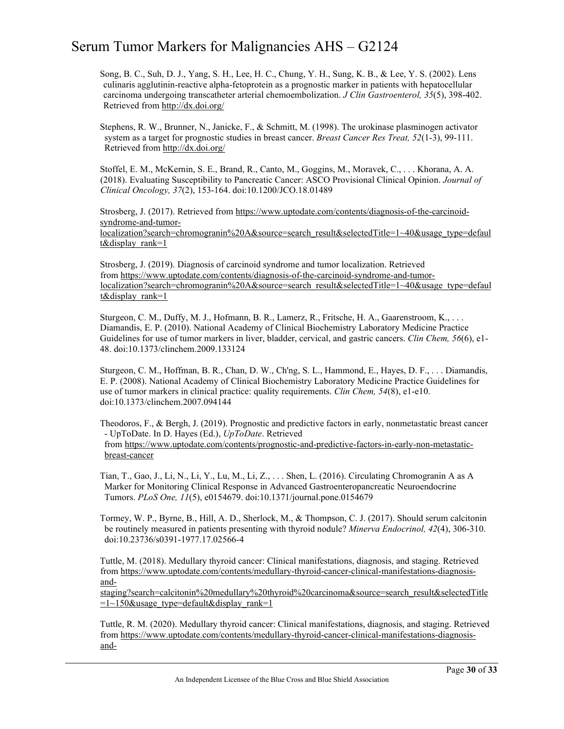Song, B. C., Suh, D. J., Yang, S. H., Lee, H. C., Chung, Y. H., Sung, K. B., & Lee, Y. S. (2002). Lens culinaris agglutinin-reactive alpha-fetoprotein as a prognostic marker in patients with hepatocellular carcinoma undergoing transcatheter arterial chemoembolization. *J Clin Gastroenterol, 35*(5), 398-402. Retrieved from <http://dx.doi.org/>

Stephens, R. W., Brunner, N., Janicke, F., & Schmitt, M. (1998). The urokinase plasminogen activator system as a target for prognostic studies in breast cancer. *Breast Cancer Res Treat, 52*(1-3), 99-111. Retrieved from <http://dx.doi.org/>

Stoffel, E. M., McKernin, S. E., Brand, R., Canto, M., Goggins, M., Moravek, C., . . . Khorana, A. A. (2018). Evaluating Susceptibility to Pancreatic Cancer: ASCO Provisional Clinical Opinion. *Journal of Clinical Oncology, 37*(2), 153-164. doi:10.1200/JCO.18.01489

Strosberg, J. (2017). Retrieved from [https://www.uptodate.com/contents/diagnosis-of-the-carcinoid](https://www.uptodate.com/contents/diagnosis-of-the-carcinoid-syndrome-and-tumor-localization?search=chromogranin%20A&source=search_result&selectedTitle=1%7E40&usage_type=default&display_rank=1)[syndrome-and-tumor](https://www.uptodate.com/contents/diagnosis-of-the-carcinoid-syndrome-and-tumor-localization?search=chromogranin%20A&source=search_result&selectedTitle=1%7E40&usage_type=default&display_rank=1)[localization?search=chromogranin%20A&source=search\\_result&selectedTitle=1~40&usage\\_type=defaul](https://www.uptodate.com/contents/diagnosis-of-the-carcinoid-syndrome-and-tumor-localization?search=chromogranin%20A&source=search_result&selectedTitle=1%7E40&usage_type=default&display_rank=1) [t&display\\_rank=1](https://www.uptodate.com/contents/diagnosis-of-the-carcinoid-syndrome-and-tumor-localization?search=chromogranin%20A&source=search_result&selectedTitle=1%7E40&usage_type=default&display_rank=1)

Strosberg, J. (2019). Diagnosis of carcinoid syndrome and tumor localization. Retrieved from [https://www.uptodate.com/contents/diagnosis-of-the-carcinoid-syndrome-and-tumor](https://www.uptodate.com/contents/diagnosis-of-the-carcinoid-syndrome-and-tumor-localization?search=chromogranin%20A&source=search_result&selectedTitle=1%7E40&usage_type=default&display_rank=1)[localization?search=chromogranin%20A&source=search\\_result&selectedTitle=1~40&usage\\_type=defaul](https://www.uptodate.com/contents/diagnosis-of-the-carcinoid-syndrome-and-tumor-localization?search=chromogranin%20A&source=search_result&selectedTitle=1%7E40&usage_type=default&display_rank=1) [t&display\\_rank=1](https://www.uptodate.com/contents/diagnosis-of-the-carcinoid-syndrome-and-tumor-localization?search=chromogranin%20A&source=search_result&selectedTitle=1%7E40&usage_type=default&display_rank=1)

Sturgeon, C. M., Duffy, M. J., Hofmann, B. R., Lamerz, R., Fritsche, H. A., Gaarenstroom, K., . . . Diamandis, E. P. (2010). National Academy of Clinical Biochemistry Laboratory Medicine Practice Guidelines for use of tumor markers in liver, bladder, cervical, and gastric cancers. *Clin Chem, 56*(6), e1- 48. doi:10.1373/clinchem.2009.133124

Sturgeon, C. M., Hoffman, B. R., Chan, D. W., Ch'ng, S. L., Hammond, E., Hayes, D. F., . . . Diamandis, E. P. (2008). National Academy of Clinical Biochemistry Laboratory Medicine Practice Guidelines for use of tumor markers in clinical practice: quality requirements. *Clin Chem, 54*(8), e1-e10. doi:10.1373/clinchem.2007.094144

Theodoros, F., & Bergh, J. (2019). Prognostic and predictive factors in early, nonmetastatic breast cancer - UpToDate. In D. Hayes (Ed.), *UpToDate*. Retrieved from [https://www.uptodate.com/contents/prognostic-and-predictive-factors-in-early-non-metastatic](https://www.uptodate.com/contents/prognostic-and-predictive-factors-in-early-non-metastatic-breast-cancer)[breast-cancer](https://www.uptodate.com/contents/prognostic-and-predictive-factors-in-early-non-metastatic-breast-cancer)

Tian, T., Gao, J., Li, N., Li, Y., Lu, M., Li, Z., . . . Shen, L. (2016). Circulating Chromogranin A as A Marker for Monitoring Clinical Response in Advanced Gastroenteropancreatic Neuroendocrine Tumors. *PLoS One, 11*(5), e0154679. doi:10.1371/journal.pone.0154679

Tormey, W. P., Byrne, B., Hill, A. D., Sherlock, M., & Thompson, C. J. (2017). Should serum calcitonin be routinely measured in patients presenting with thyroid nodule? *Minerva Endocrinol, 42*(4), 306-310. doi:10.23736/s0391-1977.17.02566-4

Tuttle, M. (2018). Medullary thyroid cancer: Clinical manifestations, diagnosis, and staging. Retrieved from [https://www.uptodate.com/contents/medullary-thyroid-cancer-clinical-manifestations-diagnosis](https://www.uptodate.com/contents/medullary-thyroid-cancer-clinical-manifestations-diagnosis-and-staging?search=calcitonin%20medullary%20thyroid%20carcinoma&source=search_result&selectedTitle=1%7E150&usage_type=default&display_rank=1)[and-](https://www.uptodate.com/contents/medullary-thyroid-cancer-clinical-manifestations-diagnosis-and-staging?search=calcitonin%20medullary%20thyroid%20carcinoma&source=search_result&selectedTitle=1%7E150&usage_type=default&display_rank=1)

[staging?search=calcitonin%20medullary%20thyroid%20carcinoma&source=search\\_result&selectedTitle](https://www.uptodate.com/contents/medullary-thyroid-cancer-clinical-manifestations-diagnosis-and-staging?search=calcitonin%20medullary%20thyroid%20carcinoma&source=search_result&selectedTitle=1%7E150&usage_type=default&display_rank=1)  $=1$ ~150&usage\_type=default&display\_rank=1

Tuttle, R. M. (2020). Medullary thyroid cancer: Clinical manifestations, diagnosis, and staging. Retrieved from [https://www.uptodate.com/contents/medullary-thyroid-cancer-clinical-manifestations-diagnosis](https://www.uptodate.com/contents/medullary-thyroid-cancer-clinical-manifestations-diagnosis-and-staging?search=calcitonin%20medullary%20thyroid%20carcinoma&source=search_result&selectedTitle=1%7E150&usage_type=default&display_rank=1)[and-](https://www.uptodate.com/contents/medullary-thyroid-cancer-clinical-manifestations-diagnosis-and-staging?search=calcitonin%20medullary%20thyroid%20carcinoma&source=search_result&selectedTitle=1%7E150&usage_type=default&display_rank=1)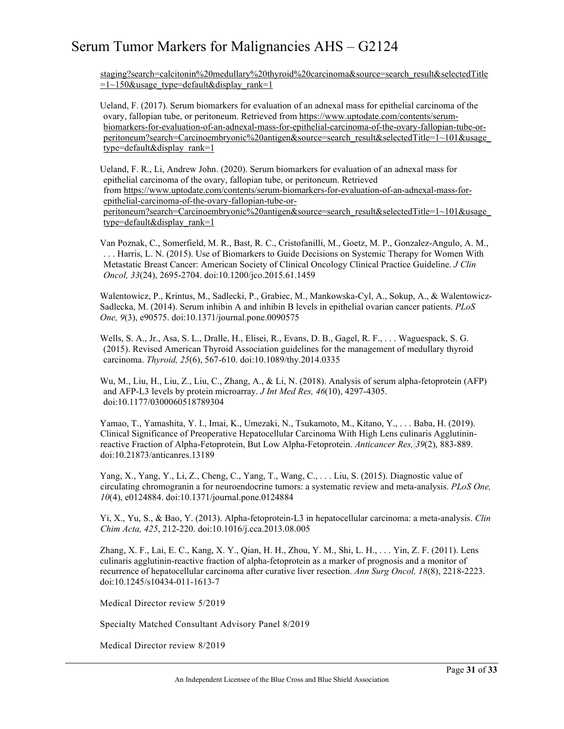[staging?search=calcitonin%20medullary%20thyroid%20carcinoma&source=search\\_result&selectedTitle](https://www.uptodate.com/contents/medullary-thyroid-cancer-clinical-manifestations-diagnosis-and-staging?search=calcitonin%20medullary%20thyroid%20carcinoma&source=search_result&selectedTitle=1%7E150&usage_type=default&display_rank=1)  $=1$ ~150&usage type=default&display rank=1

Ueland, F. (2017). Serum biomarkers for evaluation of an adnexal mass for epithelial carcinoma of the ovary, fallopian tube, or peritoneum. Retrieved from [https://www.uptodate.com/contents/serum](https://www.uptodate.com/contents/serum-biomarkers-for-evaluation-of-an-adnexal-mass-for-epithelial-carcinoma-of-the-ovary-fallopian-tube-or-peritoneum?search=Carcinoembryonic%20antigen&source=search_result&selectedTitle=1%7E101&usage_type=default&display_rank=1)[biomarkers-for-evaluation-of-an-adnexal-mass-for-epithelial-carcinoma-of-the-ovary-fallopian-tube-or](https://www.uptodate.com/contents/serum-biomarkers-for-evaluation-of-an-adnexal-mass-for-epithelial-carcinoma-of-the-ovary-fallopian-tube-or-peritoneum?search=Carcinoembryonic%20antigen&source=search_result&selectedTitle=1%7E101&usage_type=default&display_rank=1)[peritoneum?search=Carcinoembryonic%20antigen&source=search\\_result&selectedTitle=1~101&usage\\_](https://www.uptodate.com/contents/serum-biomarkers-for-evaluation-of-an-adnexal-mass-for-epithelial-carcinoma-of-the-ovary-fallopian-tube-or-peritoneum?search=Carcinoembryonic%20antigen&source=search_result&selectedTitle=1%7E101&usage_type=default&display_rank=1) [type=default&display\\_rank=1](https://www.uptodate.com/contents/serum-biomarkers-for-evaluation-of-an-adnexal-mass-for-epithelial-carcinoma-of-the-ovary-fallopian-tube-or-peritoneum?search=Carcinoembryonic%20antigen&source=search_result&selectedTitle=1%7E101&usage_type=default&display_rank=1)

Ueland, F. R., Li, Andrew John. (2020). Serum biomarkers for evaluation of an adnexal mass for epithelial carcinoma of the ovary, fallopian tube, or peritoneum. Retrieved from [https://www.uptodate.com/contents/serum-biomarkers-for-evaluation-of-an-adnexal-mass-for](https://www.uptodate.com/contents/serum-biomarkers-for-evaluation-of-an-adnexal-mass-for-epithelial-carcinoma-of-the-ovary-fallopian-tube-or-peritoneum?search=Carcinoembryonic%20antigen&source=search_result&selectedTitle=1%7E101&usage_type=default&display_rank=1)[epithelial-carcinoma-of-the-ovary-fallopian-tube-or](https://www.uptodate.com/contents/serum-biomarkers-for-evaluation-of-an-adnexal-mass-for-epithelial-carcinoma-of-the-ovary-fallopian-tube-or-peritoneum?search=Carcinoembryonic%20antigen&source=search_result&selectedTitle=1%7E101&usage_type=default&display_rank=1)[peritoneum?search=Carcinoembryonic%20antigen&source=search\\_result&selectedTitle=1~101&usage\\_](https://www.uptodate.com/contents/serum-biomarkers-for-evaluation-of-an-adnexal-mass-for-epithelial-carcinoma-of-the-ovary-fallopian-tube-or-peritoneum?search=Carcinoembryonic%20antigen&source=search_result&selectedTitle=1%7E101&usage_type=default&display_rank=1)

[type=default&display\\_rank=1](https://www.uptodate.com/contents/serum-biomarkers-for-evaluation-of-an-adnexal-mass-for-epithelial-carcinoma-of-the-ovary-fallopian-tube-or-peritoneum?search=Carcinoembryonic%20antigen&source=search_result&selectedTitle=1%7E101&usage_type=default&display_rank=1)

Van Poznak, C., Somerfield, M. R., Bast, R. C., Cristofanilli, M., Goetz, M. P., Gonzalez-Angulo, A. M., . . . Harris, L. N. (2015). Use of Biomarkers to Guide Decisions on Systemic Therapy for Women With Metastatic Breast Cancer: American Society of Clinical Oncology Clinical Practice Guideline. *J Clin Oncol, 33*(24), 2695-2704. doi:10.1200/jco.2015.61.1459

Walentowicz, P., Krintus, M., Sadlecki, P., Grabiec, M., Mankowska-Cyl, A., Sokup, A., & Walentowicz-Sadlecka, M. (2014). Serum inhibin A and inhibin B levels in epithelial ovarian cancer patients. *PLoS One, 9*(3), e90575. doi:10.1371/journal.pone.0090575

Wells, S. A., Jr., Asa, S. L., Dralle, H., Elisei, R., Evans, D. B., Gagel, R. F., . . . Waguespack, S. G. (2015). Revised American Thyroid Association guidelines for the management of medullary thyroid carcinoma. *Thyroid, 25*(6), 567-610. doi:10.1089/thy.2014.0335

Wu, M., Liu, H., Liu, Z., Liu, C., Zhang, A., & Li, N. (2018). Analysis of serum alpha-fetoprotein (AFP) and AFP-L3 levels by protein microarray. *J Int Med Res, 46*(10), 4297-4305. doi:10.1177/0300060518789304

Yamao, T., Yamashita, Y. I., Imai, K., Umezaki, N., Tsukamoto, M., Kitano, Y., . . . Baba, H. (2019). Clinical Significance of Preoperative Hepatocellular Carcinoma With High Lens culinaris Agglutininreactive Fraction of Alpha-Fetoprotein, But Low Alpha-Fetoprotein. *Anticancer Res, 39*(2), 883-889. doi:10.21873/anticanres.13189

Yang, X., Yang, Y., Li, Z., Cheng, C., Yang, T., Wang, C., . . . Liu, S. (2015). Diagnostic value of circulating chromogranin a for neuroendocrine tumors: a systematic review and meta-analysis. *PLoS One, 10*(4), e0124884. doi:10.1371/journal.pone.0124884

Yi, X., Yu, S., & Bao, Y. (2013). Alpha-fetoprotein-L3 in hepatocellular carcinoma: a meta-analysis. *Clin Chim Acta, 425*, 212-220. doi:10.1016/j.cca.2013.08.005

Zhang, X. F., Lai, E. C., Kang, X. Y., Qian, H. H., Zhou, Y. M., Shi, L. H., . . . Yin, Z. F. (2011). Lens culinaris agglutinin-reactive fraction of alpha-fetoprotein as a marker of prognosis and a monitor of recurrence of hepatocellular carcinoma after curative liver resection. *Ann Surg Oncol, 18*(8), 2218-2223. doi:10.1245/s10434-011-1613-7

Medical Director review 5/2019

Specialty Matched Consultant Advisory Panel 8/2019

Medical Director review 8/2019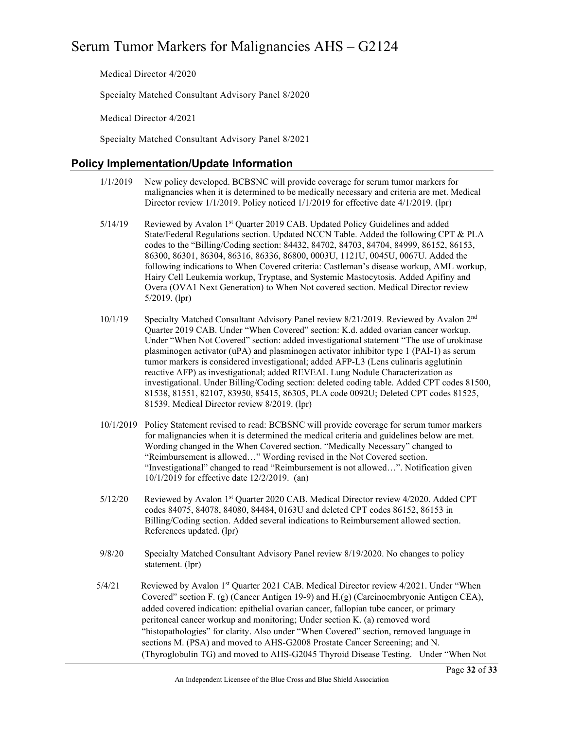Medical Director 4/2020

Specialty Matched Consultant Advisory Panel 8/2020

Medical Director 4/2021

Specialty Matched Consultant Advisory Panel 8/2021

### **Policy Implementation/Update Information**

- 1/1/2019 New policy developed. BCBSNC will provide coverage for serum tumor markers for malignancies when it is determined to be medically necessary and criteria are met. Medical Director review 1/1/2019. Policy noticed 1/1/2019 for effective date 4/1/2019. (lpr)
- 5/14/19 Reviewed by Avalon 1st Quarter 2019 CAB. Updated Policy Guidelines and added State/Federal Regulations section. Updated NCCN Table. Added the following CPT & PLA codes to the "Billing/Coding section: 84432, 84702, 84703, 84704, 84999, 86152, 86153, 86300, 86301, 86304, 86316, 86336, 86800, 0003U, 1121U, 0045U, 0067U. Added the following indications to When Covered criteria: Castleman's disease workup, AML workup, Hairy Cell Leukemia workup, Tryptase, and Systemic Mastocytosis. Added Apifiny and Overa (OVA1 Next Generation) to When Not covered section. Medical Director review 5/2019. (lpr)
- 10/1/19 Specialty Matched Consultant Advisory Panel review 8/21/2019. Reviewed by Avalon 2nd Quarter 2019 CAB. Under "When Covered" section: K.d. added ovarian cancer workup. Under "When Not Covered" section: added investigational statement "The use of urokinase plasminogen activator (uPA) and plasminogen activator inhibitor type 1 (PAI-1) as serum tumor markers is considered investigational; added AFP-L3 (Lens culinaris agglutinin reactive AFP) as investigational; added REVEAL Lung Nodule Characterization as investigational. Under Billing/Coding section: deleted coding table. Added CPT codes 81500, 81538, 81551, 82107, 83950, 85415, 86305, PLA code 0092U; Deleted CPT codes 81525, 81539. Medical Director review 8/2019. (lpr)
- 10/1/2019 Policy Statement revised to read: BCBSNC will provide coverage for serum tumor markers for malignancies when it is determined the medical criteria and guidelines below are met. Wording changed in the When Covered section. "Medically Necessary" changed to "Reimbursement is allowed…" Wording revised in the Not Covered section. "Investigational" changed to read "Reimbursement is not allowed…". Notification given 10/1/2019 for effective date 12/2/2019. (an)
- 5/12/20 Reviewed by Avalon 1st Quarter 2020 CAB. Medical Director review 4/2020. Added CPT codes 84075, 84078, 84080, 84484, 0163U and deleted CPT codes 86152, 86153 in Billing/Coding section. Added several indications to Reimbursement allowed section. References updated. (lpr)
- 9/8/20 Specialty Matched Consultant Advisory Panel review 8/19/2020. No changes to policy statement. (lpr)
- 5/4/21 Reviewed by Avalon 1<sup>st</sup> Quarter 2021 CAB. Medical Director review 4/2021. Under "When Covered" section F. (g) (Cancer Antigen 19-9) and H.(g) (Carcinoembryonic Antigen CEA), added covered indication: epithelial ovarian cancer, fallopian tube cancer, or primary peritoneal cancer workup and monitoring; Under section K. (a) removed word "histopathologies" for clarity. Also under "When Covered" section, removed language in sections M. (PSA) and moved to AHS-G2008 Prostate Cancer Screening; and N. (Thyroglobulin TG) and moved to AHS-G2045 Thyroid Disease Testing. Under "When Not